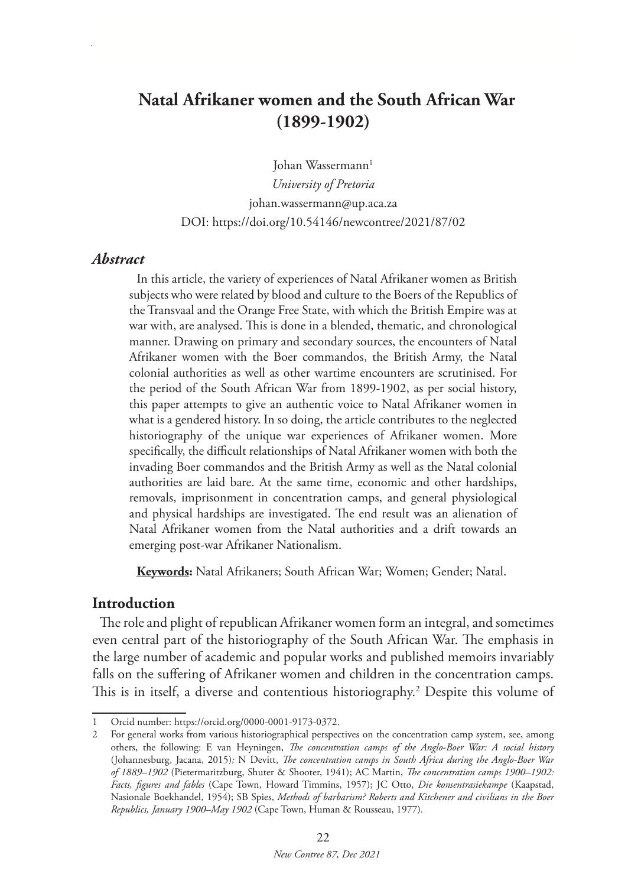# **Natal Afrikaner women and the South African War (1899-1902)**

Johan Wassermann<sup>1</sup> *University of Pretoria* johan.wassermann@up.aca.za DOI: https://doi.org/10.54146/newcontree/2021/87/02

### *Abstract*

In this article, the variety of experiences of Natal Afrikaner women as British subjects who were related by blood and culture to the Boers of the Republics of the Transvaal and the Orange Free State, with which the British Empire was at war with, are analysed. This is done in a blended, thematic, and chronological manner. Drawing on primary and secondary sources, the encounters of Natal Afrikaner women with the Boer commandos, the British Army, the Natal colonial authorities as well as other wartime encounters are scrutinised. For the period of the South African War from 1899-1902, as per social history, this paper attempts to give an authentic voice to Natal Afrikaner women in what is a gendered history. In so doing, the article contributes to the neglected historiography of the unique war experiences of Afrikaner women. More specifically, the difficult relationships of Natal Afrikaner women with both the invading Boer commandos and the British Army as well as the Natal colonial authorities are laid bare. At the same time, economic and other hardships, removals, imprisonment in concentration camps, and general physiological and physical hardships are investigated. The end result was an alienation of Natal Afrikaner women from the Natal authorities and a drift towards an emerging post-war Afrikaner Nationalism.

**Keywords:** Natal Afrikaners; South African War; Women; Gender; Natal.

#### **Introduction**

The role and plight of republican Afrikaner women form an integral, and sometimes even central part of the historiography of the South African War. The emphasis in the large number of academic and popular works and published memoirs invariably falls on the suffering of Afrikaner women and children in the concentration camps. This is in itself, a diverse and contentious historiography.2 Despite this volume of

<sup>1</sup> Orcid number: https://orcid.org/0000-0001-9173-0372.

<sup>2</sup> For general works from various historiographical perspectives on the concentration camp system, see, among others, the following: E van Heyningen, *The concentration camps of the Anglo-Boer War: A social history*  (Johannesburg, Jacana, 2015)*;* N Devitt, *The concentration camps in South Africa during the Anglo-Boer War of 1889–1902* (Pietermaritzburg, Shuter & Shooter, 1941); AC Martin, *The concentration camps 1900–1902: Facts, figures and fables* (Cape Town, Howard Timmins, 1957); JC Otto, *Die konsentrasiekampe* (Kaapstad, Nasionale Boekhandel, 1954); SB Spies, *Methods of barbarism? Roberts and Kitchener and civilians in the Boer Republics, January 1900–May 1902* (Cape Town, Human & Rousseau, 1977)*.*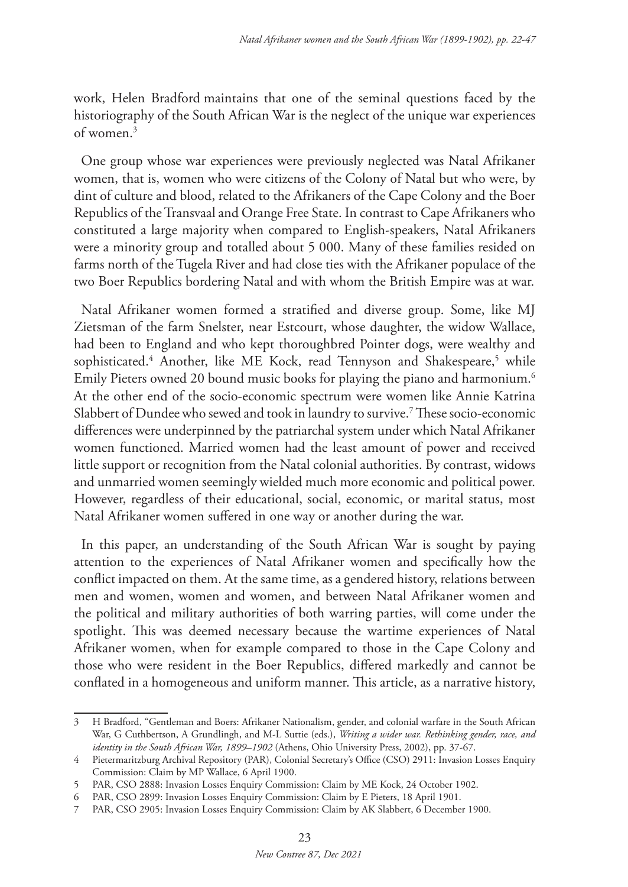work, Helen Bradford maintains that one of the seminal questions faced by the historiography of the South African War is the neglect of the unique war experiences of women $3$ 

One group whose war experiences were previously neglected was Natal Afrikaner women, that is, women who were citizens of the Colony of Natal but who were, by dint of culture and blood, related to the Afrikaners of the Cape Colony and the Boer Republics of the Transvaal and Orange Free State. In contrast to Cape Afrikaners who constituted a large majority when compared to English-speakers, Natal Afrikaners were a minority group and totalled about 5 000. Many of these families resided on farms north of the Tugela River and had close ties with the Afrikaner populace of the two Boer Republics bordering Natal and with whom the British Empire was at war.

Natal Afrikaner women formed a stratified and diverse group. Some, like MJ Zietsman of the farm Snelster, near Estcourt, whose daughter, the widow Wallace, had been to England and who kept thoroughbred Pointer dogs, were wealthy and sophisticated.<sup>4</sup> Another, like ME Kock, read Tennyson and Shakespeare,<sup>5</sup> while Emily Pieters owned 20 bound music books for playing the piano and harmonium.<sup>6</sup> At the other end of the socio-economic spectrum were women like Annie Katrina Slabbert of Dundee who sewed and took in laundry to survive.<sup>7</sup> These socio-economic differences were underpinned by the patriarchal system under which Natal Afrikaner women functioned. Married women had the least amount of power and received little support or recognition from the Natal colonial authorities. By contrast, widows and unmarried women seemingly wielded much more economic and political power. However, regardless of their educational, social, economic, or marital status, most Natal Afrikaner women suffered in one way or another during the war.

In this paper, an understanding of the South African War is sought by paying attention to the experiences of Natal Afrikaner women and specifically how the conflict impacted on them. At the same time, as a gendered history, relations between men and women, women and women, and between Natal Afrikaner women and the political and military authorities of both warring parties, will come under the spotlight. This was deemed necessary because the wartime experiences of Natal Afrikaner women, when for example compared to those in the Cape Colony and those who were resident in the Boer Republics, differed markedly and cannot be conflated in a homogeneous and uniform manner. This article, as a narrative history,

<sup>3</sup> H Bradford, "Gentleman and Boers: Afrikaner Nationalism, gender, and colonial warfare in the South African War, G Cuthbertson, A Grundlingh, and M-L Suttie (eds.), *Writing a wider war. Rethinking gender, race, and identity in the South African War, 1899–1902* (Athens, Ohio University Press, 2002), pp. 37-67.

<sup>4</sup> Pietermaritzburg Archival Repository (PAR), Colonial Secretary's Office (CSO) 2911: Invasion Losses Enquiry Commission: Claim by MP Wallace, 6 April 1900.

<sup>5</sup> PAR, CSO 2888: Invasion Losses Enquiry Commission: Claim by ME Kock, 24 October 1902.

<sup>6</sup> PAR, CSO 2899: Invasion Losses Enquiry Commission: Claim by E Pieters, 18 April 1901.

<sup>7</sup> PAR, CSO 2905: Invasion Losses Enquiry Commission: Claim by AK Slabbert, 6 December 1900.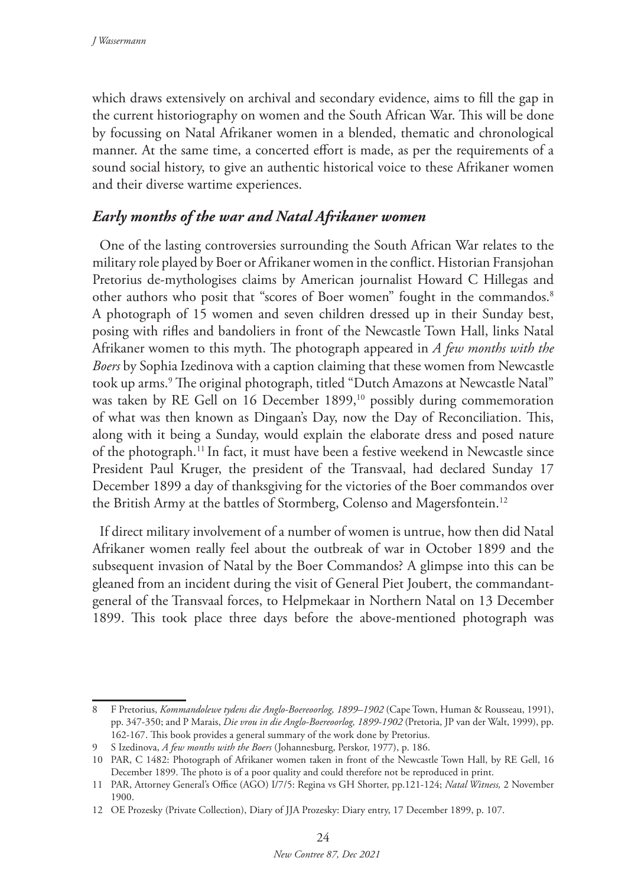which draws extensively on archival and secondary evidence, aims to fill the gap in the current historiography on women and the South African War. This will be done by focussing on Natal Afrikaner women in a blended, thematic and chronological manner. At the same time, a concerted effort is made, as per the requirements of a sound social history, to give an authentic historical voice to these Afrikaner women and their diverse wartime experiences.

# *Early months of the war and Natal Afrikaner women*

One of the lasting controversies surrounding the South African War relates to the military role played by Boer or Afrikaner women in the conflict. Historian Fransjohan Pretorius de-mythologises claims by American journalist Howard C Hillegas and other authors who posit that "scores of Boer women" fought in the commandos.<sup>8</sup> A photograph of 15 women and seven children dressed up in their Sunday best, posing with rifles and bandoliers in front of the Newcastle Town Hall, links Natal Afrikaner women to this myth. The photograph appeared in *A few months with the Boers* by Sophia Izedinova with a caption claiming that these women from Newcastle took up arms.9 The original photograph, titled "Dutch Amazons at Newcastle Natal" was taken by RE Gell on 16 December 1899,<sup>10</sup> possibly during commemoration of what was then known as Dingaan's Day, now the Day of Reconciliation. This, along with it being a Sunday, would explain the elaborate dress and posed nature of the photograph.11 In fact, it must have been a festive weekend in Newcastle since President Paul Kruger, the president of the Transvaal, had declared Sunday 17 December 1899 a day of thanksgiving for the victories of the Boer commandos over the British Army at the battles of Stormberg, Colenso and Magersfontein.<sup>12</sup>

If direct military involvement of a number of women is untrue, how then did Natal Afrikaner women really feel about the outbreak of war in October 1899 and the subsequent invasion of Natal by the Boer Commandos? A glimpse into this can be gleaned from an incident during the visit of General Piet Joubert, the commandantgeneral of the Transvaal forces, to Helpmekaar in Northern Natal on 13 December 1899. This took place three days before the above-mentioned photograph was

<sup>8</sup> F Pretorius, *Kommandolewe tydens die Anglo-Boereoorlog, 1899–1902* (Cape Town, Human & Rousseau, 1991), pp. 347-350; and P Marais, *Die vrou in die Anglo-Boereoorlog, 1899-1902* (Pretoria, JP van der Walt, 1999), pp. 162-167. This book provides a general summary of the work done by Pretorius.

<sup>9</sup> S Izedinova, *A few months with the Boers* (Johannesburg, Perskor, 1977), p. 186.

<sup>10</sup> PAR, C 1482: Photograph of Afrikaner women taken in front of the Newcastle Town Hall, by RE Gell, 16 December 1899. The photo is of a poor quality and could therefore not be reproduced in print.

<sup>11</sup> PAR, Attorney General's Office (AGO) I/7/5: Regina vs GH Shorter, pp.121-124; *Natal Witness,* 2 November 1900.

<sup>12</sup> OE Prozesky (Private Collection), Diary of JJA Prozesky: Diary entry, 17 December 1899, p. 107.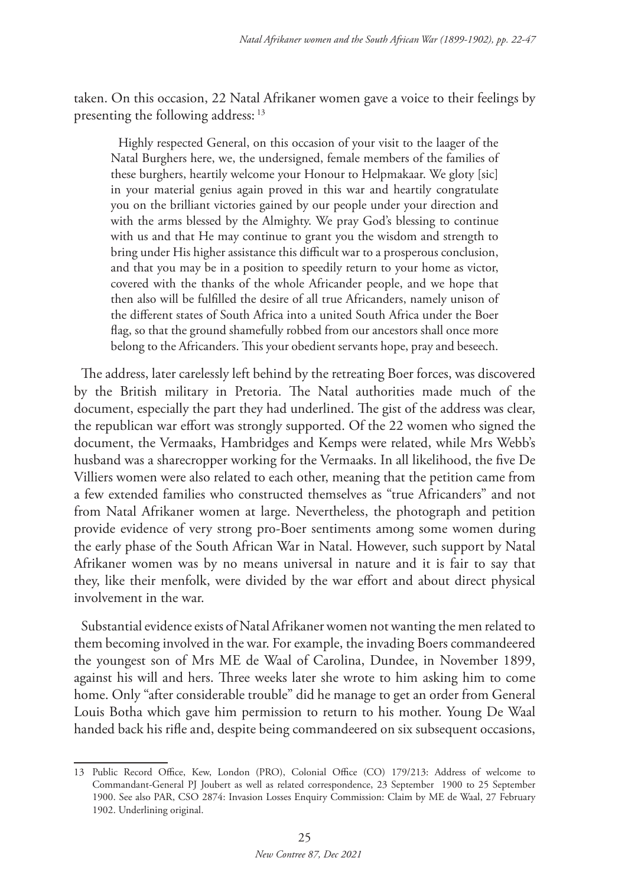taken. On this occasion, 22 Natal Afrikaner women gave a voice to their feelings by presenting the following address: <sup>13</sup>

Highly respected General, on this occasion of your visit to the laager of the Natal Burghers here, we, the undersigned, female members of the families of these burghers, heartily welcome your Honour to Helpmakaar. We gloty [sic] in your material genius again proved in this war and heartily congratulate you on the brilliant victories gained by our people under your direction and with the arms blessed by the Almighty. We pray God's blessing to continue with us and that He may continue to grant you the wisdom and strength to bring under His higher assistance this difficult war to a prosperous conclusion, and that you may be in a position to speedily return to your home as victor, covered with the thanks of the whole Africander people, and we hope that then also will be fulfilled the desire of all true Africanders, namely unison of the different states of South Africa into a united South Africa under the Boer flag, so that the ground shamefully robbed from our ancestors shall once more belong to the Africanders. This your obedient servants hope, pray and beseech.

The address, later carelessly left behind by the retreating Boer forces, was discovered by the British military in Pretoria. The Natal authorities made much of the document, especially the part they had underlined. The gist of the address was clear, the republican war effort was strongly supported. Of the 22 women who signed the document, the Vermaaks, Hambridges and Kemps were related, while Mrs Webb's husband was a sharecropper working for the Vermaaks. In all likelihood, the five De Villiers women were also related to each other, meaning that the petition came from a few extended families who constructed themselves as "true Africanders" and not from Natal Afrikaner women at large. Nevertheless, the photograph and petition provide evidence of very strong pro-Boer sentiments among some women during the early phase of the South African War in Natal. However, such support by Natal Afrikaner women was by no means universal in nature and it is fair to say that they, like their menfolk, were divided by the war effort and about direct physical involvement in the war.

Substantial evidence exists of Natal Afrikaner women not wanting the men related to them becoming involved in the war. For example, the invading Boers commandeered the youngest son of Mrs ME de Waal of Carolina, Dundee, in November 1899, against his will and hers. Three weeks later she wrote to him asking him to come home. Only "after considerable trouble" did he manage to get an order from General Louis Botha which gave him permission to return to his mother. Young De Waal handed back his rifle and, despite being commandeered on six subsequent occasions,

<sup>13</sup> Public Record Office, Kew, London (PRO), Colonial Office (CO) 179/213: Address of welcome to Commandant-General PJ Joubert as well as related correspondence, 23 September 1900 to 25 September 1900. See also PAR, CSO 2874: Invasion Losses Enquiry Commission: Claim by ME de Waal, 27 February 1902. Underlining original.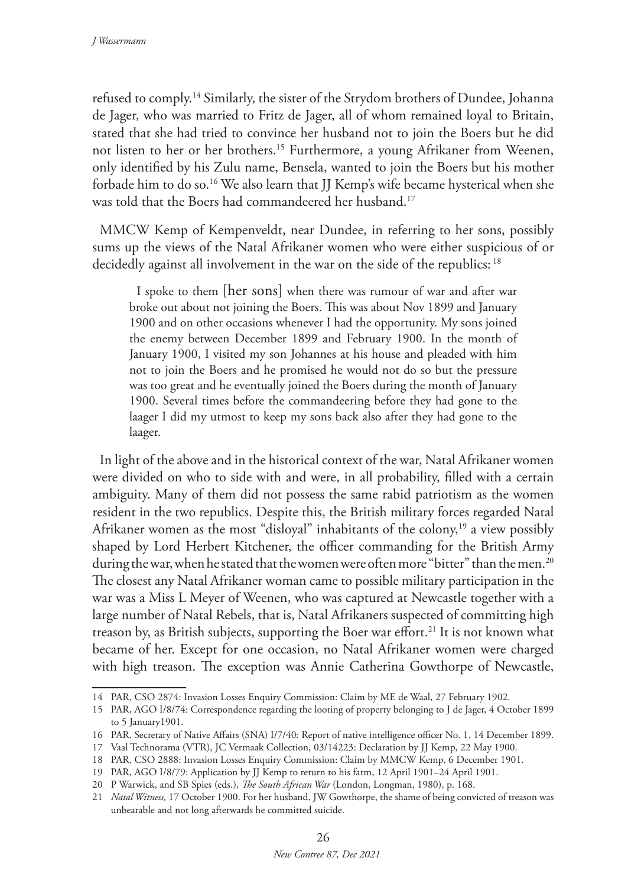refused to comply.14 Similarly, the sister of the Strydom brothers of Dundee, Johanna de Jager, who was married to Fritz de Jager, all of whom remained loyal to Britain, stated that she had tried to convince her husband not to join the Boers but he did not listen to her or her brothers.15 Furthermore, a young Afrikaner from Weenen, only identified by his Zulu name, Bensela, wanted to join the Boers but his mother forbade him to do so.16 We also learn that JJ Kemp's wife became hysterical when she was told that the Boers had commandeered her husband.<sup>17</sup>

MMCW Kemp of Kempenveldt, near Dundee, in referring to her sons, possibly sums up the views of the Natal Afrikaner women who were either suspicious of or decidedly against all involvement in the war on the side of the republics: 18

I spoke to them [her sons] when there was rumour of war and after war broke out about not joining the Boers. This was about Nov 1899 and January 1900 and on other occasions whenever I had the opportunity. My sons joined the enemy between December 1899 and February 1900. In the month of January 1900, I visited my son Johannes at his house and pleaded with him not to join the Boers and he promised he would not do so but the pressure was too great and he eventually joined the Boers during the month of January 1900. Several times before the commandeering before they had gone to the laager I did my utmost to keep my sons back also after they had gone to the laager.

In light of the above and in the historical context of the war, Natal Afrikaner women were divided on who to side with and were, in all probability, filled with a certain ambiguity. Many of them did not possess the same rabid patriotism as the women resident in the two republics. Despite this, the British military forces regarded Natal Afrikaner women as the most "disloyal" inhabitants of the colony,<sup>19</sup> a view possibly shaped by Lord Herbert Kitchener, the officer commanding for the British Army during the war, when he stated that the women were often more "bitter" than the men.<sup>20</sup> The closest any Natal Afrikaner woman came to possible military participation in the war was a Miss L Meyer of Weenen, who was captured at Newcastle together with a large number of Natal Rebels, that is, Natal Afrikaners suspected of committing high treason by, as British subjects, supporting the Boer war effort.<sup>21</sup> It is not known what became of her. Except for one occasion, no Natal Afrikaner women were charged with high treason. The exception was Annie Catherina Gowthorpe of Newcastle,

<sup>14</sup> PAR, CSO 2874: Invasion Losses Enquiry Commission: Claim by ME de Waal, 27 February 1902.

<sup>15</sup> PAR, AGO I/8/74: Correspondence regarding the looting of property belonging to J de Jager, 4 October 1899 to 5 January1901.

<sup>16</sup> PAR, Secretary of Native Affairs (SNA) I/7/40: Report of native intelligence officer No. 1, 14 December 1899.

<sup>17</sup> Vaal Technorama (VTR), JC Vermaak Collection, 03/14223: Declaration by JJ Kemp, 22 May 1900.

<sup>18</sup> PAR, CSO 2888: Invasion Losses Enquiry Commission: Claim by MMCW Kemp, 6 December 1901.

<sup>19</sup> PAR, AGO I/8/79: Application by JJ Kemp to return to his farm, 12 April 1901–24 April 1901.

<sup>20</sup> P Warwick, and SB Spies (eds.), *The South African War* (London, Longman, 1980), p. 168.

<sup>21</sup> *Natal Witness,* 17 October 1900. For her husband, JW Gowthorpe, the shame of being convicted of treason was unbearable and not long afterwards he committed suicide.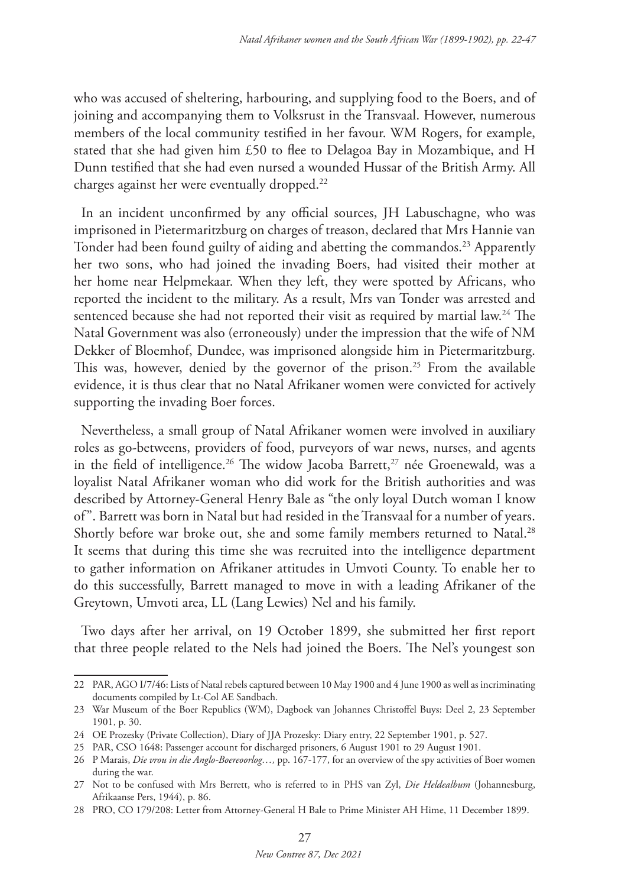who was accused of sheltering, harbouring, and supplying food to the Boers, and of joining and accompanying them to Volksrust in the Transvaal. However, numerous members of the local community testified in her favour. WM Rogers, for example, stated that she had given him £50 to flee to Delagoa Bay in Mozambique, and H Dunn testified that she had even nursed a wounded Hussar of the British Army. All charges against her were eventually dropped.22

In an incident unconfirmed by any official sources, JH Labuschagne, who was imprisoned in Pietermaritzburg on charges of treason, declared that Mrs Hannie van Tonder had been found guilty of aiding and abetting the commandos.<sup>23</sup> Apparently her two sons, who had joined the invading Boers, had visited their mother at her home near Helpmekaar. When they left, they were spotted by Africans, who reported the incident to the military. As a result, Mrs van Tonder was arrested and sentenced because she had not reported their visit as required by martial law.<sup>24</sup> The Natal Government was also (erroneously) under the impression that the wife of NM Dekker of Bloemhof, Dundee, was imprisoned alongside him in Pietermaritzburg. This was, however, denied by the governor of the prison.<sup>25</sup> From the available evidence, it is thus clear that no Natal Afrikaner women were convicted for actively supporting the invading Boer forces.

Nevertheless, a small group of Natal Afrikaner women were involved in auxiliary roles as go-betweens, providers of food, purveyors of war news, nurses, and agents in the field of intelligence.<sup>26</sup> The widow Jacoba Barrett,<sup>27</sup> née Groenewald, was a loyalist Natal Afrikaner woman who did work for the British authorities and was described by Attorney-General Henry Bale as "the only loyal Dutch woman I know of". Barrett was born in Natal but had resided in the Transvaal for a number of years. Shortly before war broke out, she and some family members returned to Natal.<sup>28</sup> It seems that during this time she was recruited into the intelligence department to gather information on Afrikaner attitudes in Umvoti County. To enable her to do this successfully, Barrett managed to move in with a leading Afrikaner of the Greytown, Umvoti area, LL (Lang Lewies) Nel and his family.

Two days after her arrival, on 19 October 1899, she submitted her first report that three people related to the Nels had joined the Boers. The Nel's youngest son

<sup>22</sup> PAR, AGO I/7/46: Lists of Natal rebels captured between 10 May 1900 and 4 June 1900 as well as incriminating documents compiled by Lt-Col AE Sandbach.

<sup>23</sup> War Museum of the Boer Republics (WM), Dagboek van Johannes Christoffel Buys: Deel 2, 23 September 1901, p. 30.

<sup>24</sup> OE Prozesky (Private Collection), Diary of JJA Prozesky: Diary entry, 22 September 1901, p. 527.

<sup>25</sup> PAR, CSO 1648: Passenger account for discharged prisoners, 6 August 1901 to 29 August 1901.

<sup>26</sup> P Marais, *Die vrou in die Anglo-Boereoorlog…,* pp. 167-177, for an overview of the spy activities of Boer women during the war.

<sup>27</sup> Not to be confused with Mrs Berrett, who is referred to in PHS van Zyl, *Die Heldealbum* (Johannesburg, Afrikaanse Pers, 1944), p. 86.

<sup>28</sup> PRO, CO 179/208: Letter from Attorney-General H Bale to Prime Minister AH Hime, 11 December 1899.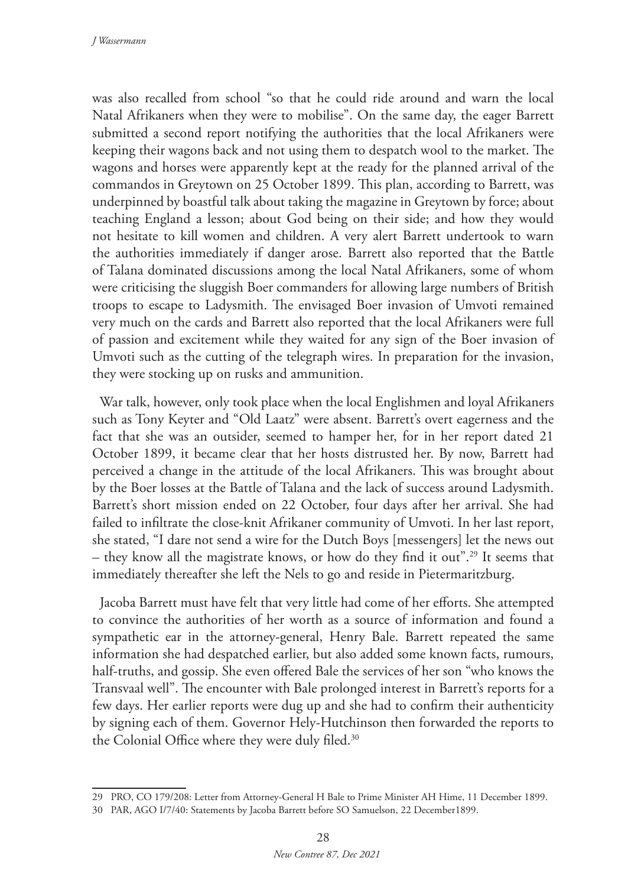was also recalled from school "so that he could ride around and warn the local Natal Afrikaners when they were to mobilise". On the same day, the eager Barrett submitted a second report notifying the authorities that the local Afrikaners were keeping their wagons back and not using them to despatch wool to the market. The wagons and horses were apparently kept at the ready for the planned arrival of the commandos in Greytown on 25 October 1899. This plan, according to Barrett, was underpinned by boastful talk about taking the magazine in Greytown by force; about teaching England a lesson; about God being on their side; and how they would not hesitate to kill women and children. A very alert Barrett undertook to warn the authorities immediately if danger arose. Barrett also reported that the Battle of Talana dominated discussions among the local Natal Afrikaners, some of whom were criticising the sluggish Boer commanders for allowing large numbers of British troops to escape to Ladysmith. The envisaged Boer invasion of Umvoti remained very much on the cards and Barrett also reported that the local Afrikaners were full of passion and excitement while they waited for any sign of the Boer invasion of Umvoti such as the cutting of the telegraph wires. In preparation for the invasion, they were stocking up on rusks and ammunition.

War talk, however, only took place when the local Englishmen and loyal Afrikaners such as Tony Keyter and "Old Laatz" were absent. Barrett's overt eagerness and the fact that she was an outsider, seemed to hamper her, for in her report dated 21 October 1899, it became clear that her hosts distrusted her. By now, Barrett had perceived a change in the attitude of the local Afrikaners. This was brought about by the Boer losses at the Battle of Talana and the lack of success around Ladysmith. Barrett's short mission ended on 22 October, four days after her arrival. She had failed to infiltrate the close-knit Afrikaner community of Umvoti. In her last report, she stated, "I dare not send a wire for the Dutch Boys [messengers] let the news out – they know all the magistrate knows, or how do they find it out".<sup>29</sup> It seems that immediately thereafter she left the Nels to go and reside in Pietermaritzburg.

Jacoba Barrett must have felt that very little had come of her efforts. She attempted to convince the authorities of her worth as a source of information and found a sympathetic ear in the attorney-general, Henry Bale. Barrett repeated the same information she had despatched earlier, but also added some known facts, rumours, half-truths, and gossip. She even offered Bale the services of her son "who knows the Transvaal well". The encounter with Bale prolonged interest in Barrett's reports for a few days. Her earlier reports were dug up and she had to confirm their authenticity by signing each of them. Governor Hely-Hutchinson then forwarded the reports to the Colonial Office where they were duly filed.30

<sup>29</sup> PRO, CO 179/208: Letter from Attorney-General H Bale to Prime Minister AH Hime, 11 December 1899.

<sup>30</sup> PAR, AGO I/7/40: Statements by Jacoba Barrett before SO Samuelson, 22 December1899.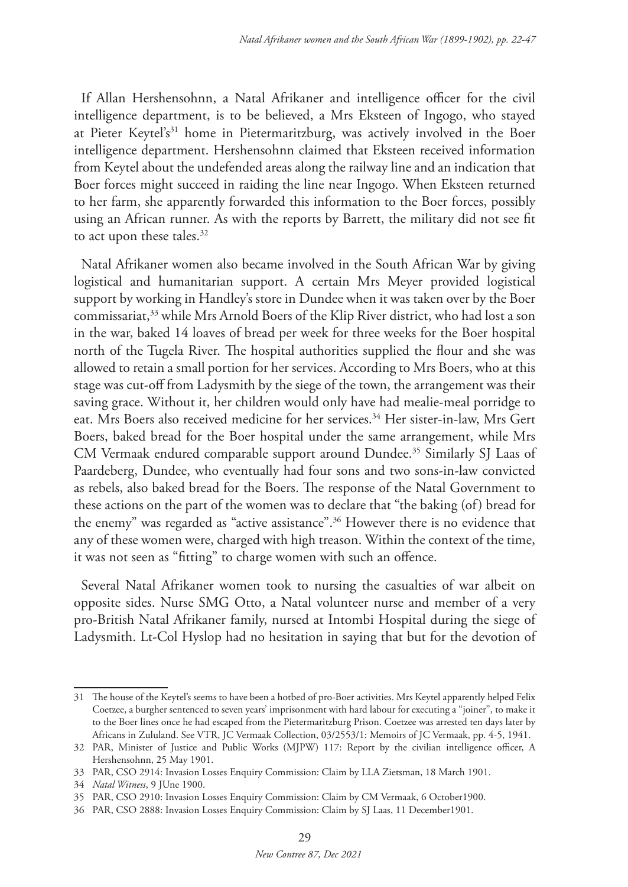If Allan Hershensohnn, a Natal Afrikaner and intelligence officer for the civil intelligence department, is to be believed, a Mrs Eksteen of Ingogo, who stayed at Pieter Keytel's<sup>31</sup> home in Pietermaritzburg, was actively involved in the Boer intelligence department. Hershensohnn claimed that Eksteen received information from Keytel about the undefended areas along the railway line and an indication that Boer forces might succeed in raiding the line near Ingogo. When Eksteen returned to her farm, she apparently forwarded this information to the Boer forces, possibly using an African runner. As with the reports by Barrett, the military did not see fit to act upon these tales.<sup>32</sup>

Natal Afrikaner women also became involved in the South African War by giving logistical and humanitarian support. A certain Mrs Meyer provided logistical support by working in Handley's store in Dundee when it was taken over by the Boer commissariat,33 while Mrs Arnold Boers of the Klip River district, who had lost a son in the war, baked 14 loaves of bread per week for three weeks for the Boer hospital north of the Tugela River. The hospital authorities supplied the flour and she was allowed to retain a small portion for her services. According to Mrs Boers, who at this stage was cut-off from Ladysmith by the siege of the town, the arrangement was their saving grace. Without it, her children would only have had mealie-meal porridge to eat. Mrs Boers also received medicine for her services.<sup>34</sup> Her sister-in-law, Mrs Gert Boers, baked bread for the Boer hospital under the same arrangement, while Mrs CM Vermaak endured comparable support around Dundee.35 Similarly SJ Laas of Paardeberg, Dundee, who eventually had four sons and two sons-in-law convicted as rebels, also baked bread for the Boers. The response of the Natal Government to these actions on the part of the women was to declare that "the baking (of) bread for the enemy" was regarded as "active assistance".36 However there is no evidence that any of these women were, charged with high treason. Within the context of the time, it was not seen as "fitting" to charge women with such an offence.

Several Natal Afrikaner women took to nursing the casualties of war albeit on opposite sides. Nurse SMG Otto, a Natal volunteer nurse and member of a very pro-British Natal Afrikaner family, nursed at Intombi Hospital during the siege of Ladysmith. Lt-Col Hyslop had no hesitation in saying that but for the devotion of

<sup>31</sup> The house of the Keytel's seems to have been a hotbed of pro-Boer activities. Mrs Keytel apparently helped Felix Coetzee, a burgher sentenced to seven years' imprisonment with hard labour for executing a "joiner", to make it to the Boer lines once he had escaped from the Pietermaritzburg Prison. Coetzee was arrested ten days later by Africans in Zululand. See VTR, JC Vermaak Collection, 03/2553/1: Memoirs of JC Vermaak, pp. 4-5, 1941.

<sup>32</sup> PAR, Minister of Justice and Public Works (MJPW) 117: Report by the civilian intelligence officer, A Hershensohnn, 25 May 1901.

<sup>33</sup> PAR, CSO 2914: Invasion Losses Enquiry Commission: Claim by LLA Zietsman, 18 March 1901.

<sup>34</sup> *Natal Witness*, 9 JUne 1900.

<sup>35</sup> PAR, CSO 2910: Invasion Losses Enquiry Commission: Claim by CM Vermaak, 6 October1900.

<sup>36</sup> PAR, CSO 2888: Invasion Losses Enquiry Commission: Claim by SJ Laas, 11 December1901.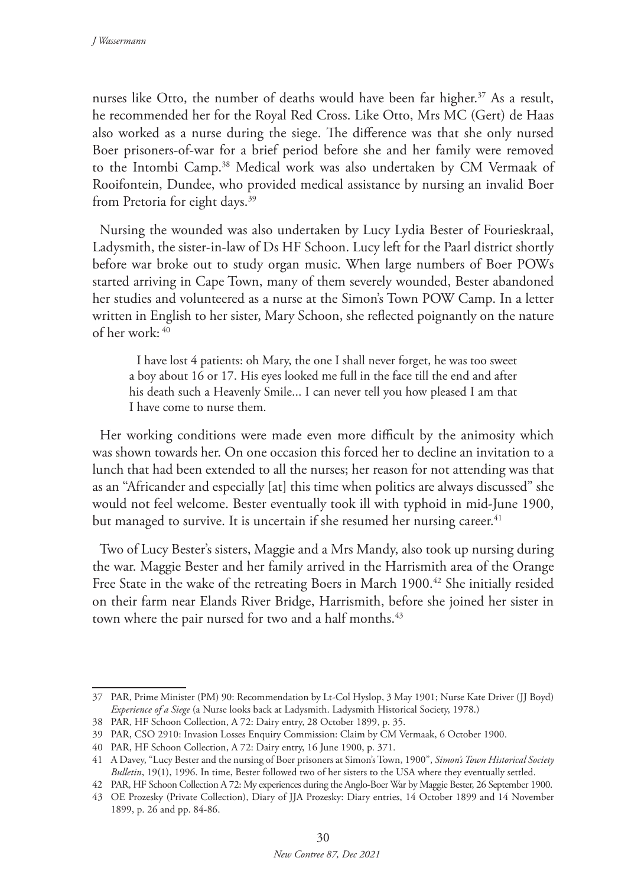nurses like Otto, the number of deaths would have been far higher.<sup>37</sup> As a result, he recommended her for the Royal Red Cross. Like Otto, Mrs MC (Gert) de Haas also worked as a nurse during the siege. The difference was that she only nursed Boer prisoners-of-war for a brief period before she and her family were removed to the Intombi Camp.38 Medical work was also undertaken by CM Vermaak of Rooifontein, Dundee, who provided medical assistance by nursing an invalid Boer from Pretoria for eight days.<sup>39</sup>

Nursing the wounded was also undertaken by Lucy Lydia Bester of Fourieskraal, Ladysmith, the sister-in-law of Ds HF Schoon. Lucy left for the Paarl district shortly before war broke out to study organ music. When large numbers of Boer POWs started arriving in Cape Town, many of them severely wounded, Bester abandoned her studies and volunteered as a nurse at the Simon's Town POW Camp. In a letter written in English to her sister, Mary Schoon, she reflected poignantly on the nature of her work: <sup>40</sup>

I have lost 4 patients: oh Mary, the one I shall never forget, he was too sweet a boy about 16 or 17. His eyes looked me full in the face till the end and after his death such a Heavenly Smile... I can never tell you how pleased I am that I have come to nurse them.

Her working conditions were made even more difficult by the animosity which was shown towards her. On one occasion this forced her to decline an invitation to a lunch that had been extended to all the nurses; her reason for not attending was that as an "Africander and especially [at] this time when politics are always discussed" she would not feel welcome. Bester eventually took ill with typhoid in mid-June 1900, but managed to survive. It is uncertain if she resumed her nursing career.<sup>41</sup>

Two of Lucy Bester's sisters, Maggie and a Mrs Mandy, also took up nursing during the war. Maggie Bester and her family arrived in the Harrismith area of the Orange Free State in the wake of the retreating Boers in March 1900.<sup>42</sup> She initially resided on their farm near Elands River Bridge, Harrismith, before she joined her sister in town where the pair nursed for two and a half months.<sup>43</sup>

<sup>37</sup> PAR, Prime Minister (PM) 90: Recommendation by Lt-Col Hyslop, 3 May 1901; Nurse Kate Driver (JJ Boyd) *Experience of a Siege* (a Nurse looks back at Ladysmith. Ladysmith Historical Society, 1978.)

<sup>38</sup> PAR, HF Schoon Collection, A 72: Dairy entry, 28 October 1899, p. 35.

<sup>39</sup> PAR, CSO 2910: Invasion Losses Enquiry Commission: Claim by CM Vermaak, 6 October 1900.

<sup>40</sup> PAR, HF Schoon Collection, A 72: Dairy entry, 16 June 1900, p. 371.

<sup>41</sup> A Davey, "Lucy Bester and the nursing of Boer prisoners at Simon's Town, 1900", *Simon's Town Historical Society Bulletin*, 19(1), 1996. In time, Bester followed two of her sisters to the USA where they eventually settled.

<sup>42</sup> PAR, HF Schoon Collection A 72: My experiences during the Anglo-Boer War by Maggie Bester, 26 September 1900.

<sup>43</sup> OE Prozesky (Private Collection), Diary of JJA Prozesky: Diary entries, 14 October 1899 and 14 November 1899, p. 26 and pp. 84-86.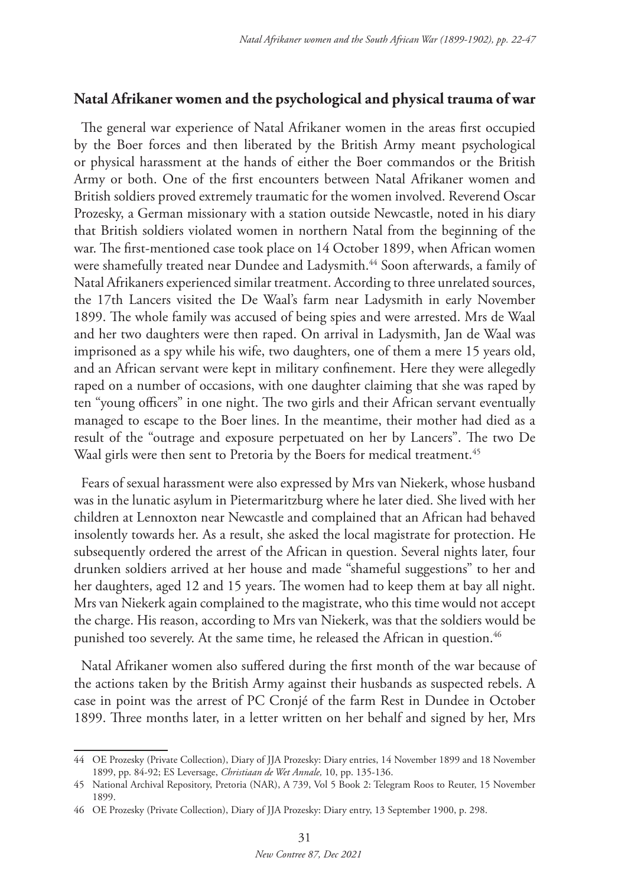# **Natal Afrikaner women and the psychological and physical trauma of war**

The general war experience of Natal Afrikaner women in the areas first occupied by the Boer forces and then liberated by the British Army meant psychological or physical harassment at the hands of either the Boer commandos or the British Army or both. One of the first encounters between Natal Afrikaner women and British soldiers proved extremely traumatic for the women involved. Reverend Oscar Prozesky, a German missionary with a station outside Newcastle, noted in his diary that British soldiers violated women in northern Natal from the beginning of the war. The first-mentioned case took place on 14 October 1899, when African women were shamefully treated near Dundee and Ladysmith.<sup>44</sup> Soon afterwards, a family of Natal Afrikaners experienced similar treatment. According to three unrelated sources, the 17th Lancers visited the De Waal's farm near Ladysmith in early November 1899. The whole family was accused of being spies and were arrested. Mrs de Waal and her two daughters were then raped. On arrival in Ladysmith, Jan de Waal was imprisoned as a spy while his wife, two daughters, one of them a mere 15 years old, and an African servant were kept in military confinement. Here they were allegedly raped on a number of occasions, with one daughter claiming that she was raped by ten "young officers" in one night. The two girls and their African servant eventually managed to escape to the Boer lines. In the meantime, their mother had died as a result of the "outrage and exposure perpetuated on her by Lancers". The two De Waal girls were then sent to Pretoria by the Boers for medical treatment.<sup>45</sup>

Fears of sexual harassment were also expressed by Mrs van Niekerk, whose husband was in the lunatic asylum in Pietermaritzburg where he later died. She lived with her children at Lennoxton near Newcastle and complained that an African had behaved insolently towards her. As a result, she asked the local magistrate for protection. He subsequently ordered the arrest of the African in question. Several nights later, four drunken soldiers arrived at her house and made "shameful suggestions" to her and her daughters, aged 12 and 15 years. The women had to keep them at bay all night. Mrs van Niekerk again complained to the magistrate, who this time would not accept the charge. His reason, according to Mrs van Niekerk, was that the soldiers would be punished too severely. At the same time, he released the African in question.<sup>46</sup>

Natal Afrikaner women also suffered during the first month of the war because of the actions taken by the British Army against their husbands as suspected rebels. A case in point was the arrest of PC Cronjé of the farm Rest in Dundee in October 1899. Three months later, in a letter written on her behalf and signed by her, Mrs

<sup>44</sup> OE Prozesky (Private Collection), Diary of JJA Prozesky: Diary entries, 14 November 1899 and 18 November 1899, pp. 84-92; ES Leversage, *Christiaan de Wet Annale,* 10, pp. 135-136.

<sup>45</sup> National Archival Repository, Pretoria (NAR), A 739, Vol 5 Book 2: Telegram Roos to Reuter, 15 November 1899.

<sup>46</sup> OE Prozesky (Private Collection), Diary of JJA Prozesky: Diary entry, 13 September 1900, p. 298.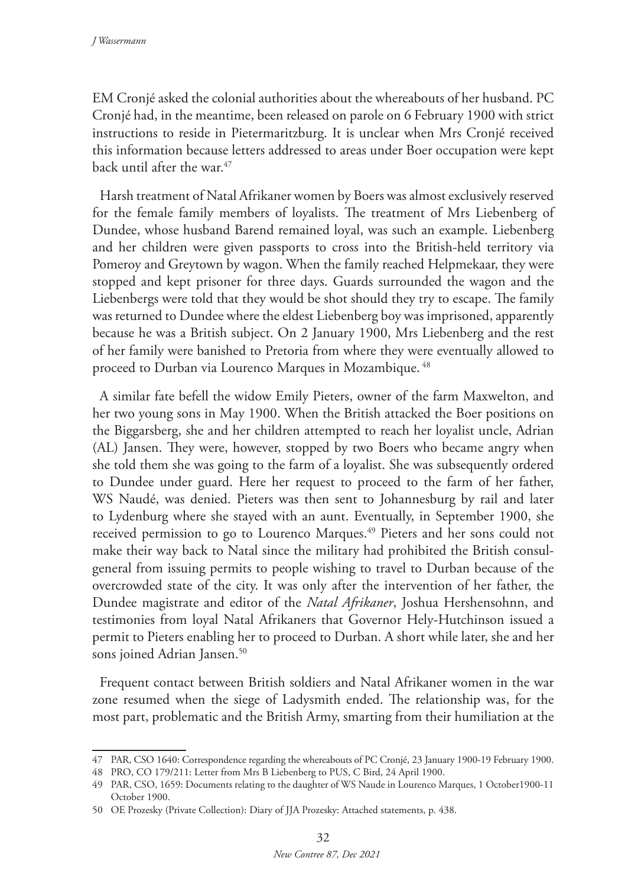EM Cronjé asked the colonial authorities about the whereabouts of her husband. PC Cronjé had, in the meantime, been released on parole on 6 February 1900 with strict instructions to reside in Pietermaritzburg. It is unclear when Mrs Cronjé received this information because letters addressed to areas under Boer occupation were kept back until after the war.<sup>47</sup>

Harsh treatment of Natal Afrikaner women by Boers was almost exclusively reserved for the female family members of loyalists. The treatment of Mrs Liebenberg of Dundee, whose husband Barend remained loyal, was such an example. Liebenberg and her children were given passports to cross into the British-held territory via Pomeroy and Greytown by wagon. When the family reached Helpmekaar, they were stopped and kept prisoner for three days. Guards surrounded the wagon and the Liebenbergs were told that they would be shot should they try to escape. The family was returned to Dundee where the eldest Liebenberg boy was imprisoned, apparently because he was a British subject. On 2 January 1900, Mrs Liebenberg and the rest of her family were banished to Pretoria from where they were eventually allowed to proceed to Durban via Lourenco Marques in Mozambique. 48

A similar fate befell the widow Emily Pieters, owner of the farm Maxwelton, and her two young sons in May 1900. When the British attacked the Boer positions on the Biggarsberg, she and her children attempted to reach her loyalist uncle, Adrian (AL) Jansen. They were, however, stopped by two Boers who became angry when she told them she was going to the farm of a loyalist. She was subsequently ordered to Dundee under guard. Here her request to proceed to the farm of her father, WS Naudé, was denied. Pieters was then sent to Johannesburg by rail and later to Lydenburg where she stayed with an aunt. Eventually, in September 1900, she received permission to go to Lourenco Marques.<sup>49</sup> Pieters and her sons could not make their way back to Natal since the military had prohibited the British consulgeneral from issuing permits to people wishing to travel to Durban because of the overcrowded state of the city. It was only after the intervention of her father, the Dundee magistrate and editor of the *Natal Afrikaner*, Joshua Hershensohnn, and testimonies from loyal Natal Afrikaners that Governor Hely-Hutchinson issued a permit to Pieters enabling her to proceed to Durban. A short while later, she and her sons joined Adrian Jansen.<sup>50</sup>

Frequent contact between British soldiers and Natal Afrikaner women in the war zone resumed when the siege of Ladysmith ended. The relationship was, for the most part, problematic and the British Army, smarting from their humiliation at the

<sup>47</sup> PAR, CSO 1640: Correspondence regarding the whereabouts of PC Cronjé, 23 January 1900-19 February 1900.

<sup>48</sup> PRO, CO 179/211: Letter from Mrs B Liebenberg to PUS, C Bird, 24 April 1900.

<sup>49</sup> PAR, CSO, 1659: Documents relating to the daughter of WS Naude in Lourenco Marques, 1 October1900-11 October 1900.

<sup>50</sup> OE Prozesky (Private Collection): Diary of JJA Prozesky: Attached statements, p. 438.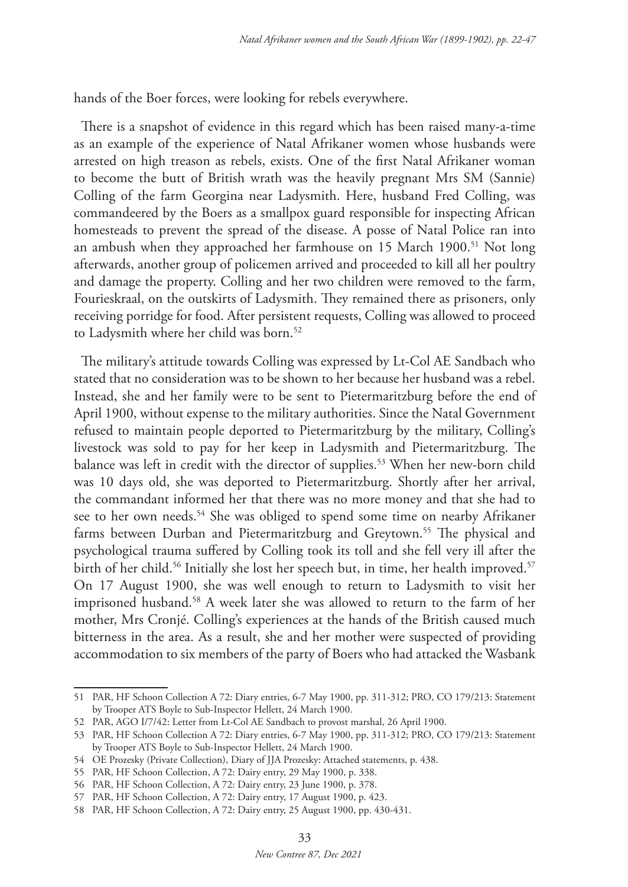hands of the Boer forces, were looking for rebels everywhere.

There is a snapshot of evidence in this regard which has been raised many-a-time as an example of the experience of Natal Afrikaner women whose husbands were arrested on high treason as rebels, exists. One of the first Natal Afrikaner woman to become the butt of British wrath was the heavily pregnant Mrs SM (Sannie) Colling of the farm Georgina near Ladysmith. Here, husband Fred Colling, was commandeered by the Boers as a smallpox guard responsible for inspecting African homesteads to prevent the spread of the disease. A posse of Natal Police ran into an ambush when they approached her farmhouse on  $15$  March  $1900$ <sup>51</sup> Not long afterwards, another group of policemen arrived and proceeded to kill all her poultry and damage the property. Colling and her two children were removed to the farm, Fourieskraal, on the outskirts of Ladysmith. They remained there as prisoners, only receiving porridge for food. After persistent requests, Colling was allowed to proceed to Ladysmith where her child was born.<sup>52</sup>

The military's attitude towards Colling was expressed by Lt-Col AE Sandbach who stated that no consideration was to be shown to her because her husband was a rebel. Instead, she and her family were to be sent to Pietermaritzburg before the end of April 1900, without expense to the military authorities. Since the Natal Government refused to maintain people deported to Pietermaritzburg by the military, Colling's livestock was sold to pay for her keep in Ladysmith and Pietermaritzburg. The balance was left in credit with the director of supplies.<sup>53</sup> When her new-born child was 10 days old, she was deported to Pietermaritzburg. Shortly after her arrival, the commandant informed her that there was no more money and that she had to see to her own needs.<sup>54</sup> She was obliged to spend some time on nearby Afrikaner farms between Durban and Pietermaritzburg and Greytown.<sup>55</sup> The physical and psychological trauma suffered by Colling took its toll and she fell very ill after the birth of her child.<sup>56</sup> Initially she lost her speech but, in time, her health improved.<sup>57</sup> On 17 August 1900, she was well enough to return to Ladysmith to visit her imprisoned husband.58 A week later she was allowed to return to the farm of her mother, Mrs Cronjé. Colling's experiences at the hands of the British caused much bitterness in the area. As a result, she and her mother were suspected of providing accommodation to six members of the party of Boers who had attacked the Wasbank

<sup>51</sup> PAR, HF Schoon Collection A 72: Diary entries, 6-7 May 1900, pp. 311-312; PRO, CO 179/213: Statement by Trooper ATS Boyle to Sub-Inspector Hellett, 24 March 1900.

<sup>52</sup> PAR, AGO I/7/42: Letter from Lt-Col AE Sandbach to provost marshal, 26 April 1900.

<sup>53</sup> PAR, HF Schoon Collection A 72: Diary entries, 6-7 May 1900, pp. 311-312; PRO, CO 179/213: Statement by Trooper ATS Boyle to Sub-Inspector Hellett, 24 March 1900.

<sup>54</sup> OE Prozesky (Private Collection), Diary of JJA Prozesky: Attached statements, p. 438.

<sup>55</sup> PAR, HF Schoon Collection, A 72: Dairy entry, 29 May 1900, p. 338.

<sup>56</sup> PAR, HF Schoon Collection, A 72: Dairy entry, 23 June 1900, p. 378.

<sup>57</sup> PAR, HF Schoon Collection, A 72: Dairy entry, 17 August 1900, p. 423.

<sup>58</sup> PAR, HF Schoon Collection, A 72: Dairy entry, 25 August 1900, pp. 430-431.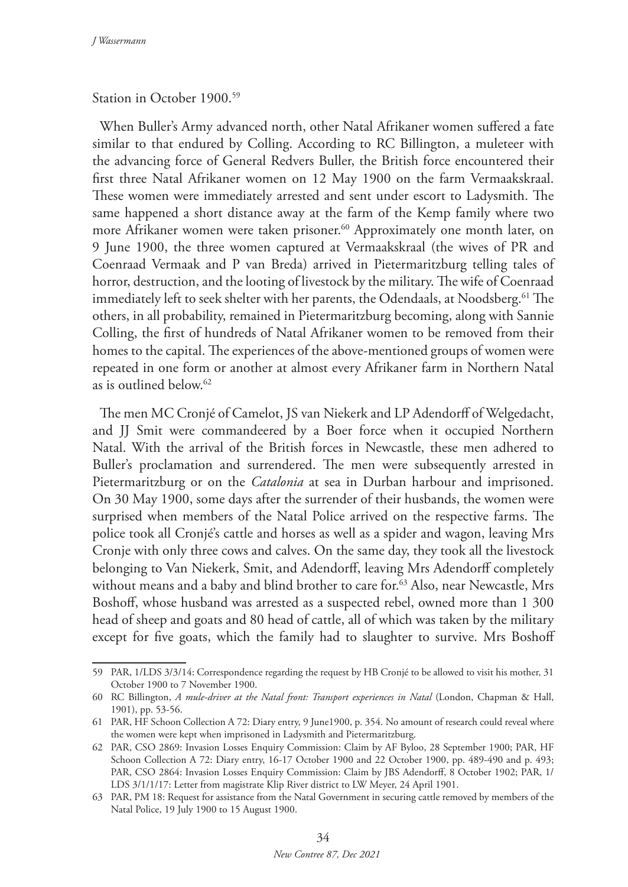## Station in October 1900.59

When Buller's Army advanced north, other Natal Afrikaner women suffered a fate similar to that endured by Colling. According to RC Billington, a muleteer with the advancing force of General Redvers Buller, the British force encountered their first three Natal Afrikaner women on 12 May 1900 on the farm Vermaakskraal. These women were immediately arrested and sent under escort to Ladysmith. The same happened a short distance away at the farm of the Kemp family where two more Afrikaner women were taken prisoner.<sup>60</sup> Approximately one month later, on 9 June 1900, the three women captured at Vermaakskraal (the wives of PR and Coenraad Vermaak and P van Breda) arrived in Pietermaritzburg telling tales of horror, destruction, and the looting of livestock by the military. The wife of Coenraad immediately left to seek shelter with her parents, the Odendaals, at Noodsberg.<sup>61</sup> The others, in all probability, remained in Pietermaritzburg becoming, along with Sannie Colling, the first of hundreds of Natal Afrikaner women to be removed from their homes to the capital. The experiences of the above-mentioned groups of women were repeated in one form or another at almost every Afrikaner farm in Northern Natal as is outlined below.62

The men MC Cronjé of Camelot, JS van Niekerk and LP Adendorff of Welgedacht, and JJ Smit were commandeered by a Boer force when it occupied Northern Natal. With the arrival of the British forces in Newcastle, these men adhered to Buller's proclamation and surrendered. The men were subsequently arrested in Pietermaritzburg or on the *Catalonia* at sea in Durban harbour and imprisoned. On 30 May 1900, some days after the surrender of their husbands, the women were surprised when members of the Natal Police arrived on the respective farms. The police took all Cronjé's cattle and horses as well as a spider and wagon, leaving Mrs Cronje with only three cows and calves. On the same day, they took all the livestock belonging to Van Niekerk, Smit, and Adendorff, leaving Mrs Adendorff completely without means and a baby and blind brother to care for.<sup>63</sup> Also, near Newcastle, Mrs Boshoff, whose husband was arrested as a suspected rebel, owned more than 1 300 head of sheep and goats and 80 head of cattle, all of which was taken by the military except for five goats, which the family had to slaughter to survive. Mrs Boshoff

<sup>59</sup> PAR, 1/LDS 3/3/14: Correspondence regarding the request by HB Cronjé to be allowed to visit his mother, 31 October 1900 to 7 November 1900.

<sup>60</sup> RC Billington, *A mule-driver at the Natal front: Transport experiences in Natal* (London, Chapman & Hall, 1901), pp. 53-56.

<sup>61</sup> PAR, HF Schoon Collection A 72: Diary entry, 9 June1900, p. 354. No amount of research could reveal where the women were kept when imprisoned in Ladysmith and Pietermaritzburg.

<sup>62</sup> PAR, CSO 2869: Invasion Losses Enquiry Commission: Claim by AF Byloo, 28 September 1900; PAR, HF Schoon Collection A 72: Diary entry, 16-17 October 1900 and 22 October 1900, pp. 489-490 and p. 493; PAR, CSO 2864: Invasion Losses Enquiry Commission: Claim by JBS Adendorff, 8 October 1902; PAR, 1/ LDS 3/1/1/17: Letter from magistrate Klip River district to LW Meyer, 24 April 1901.

<sup>63</sup> PAR, PM 18: Request for assistance from the Natal Government in securing cattle removed by members of the Natal Police, 19 July 1900 to 15 August 1900.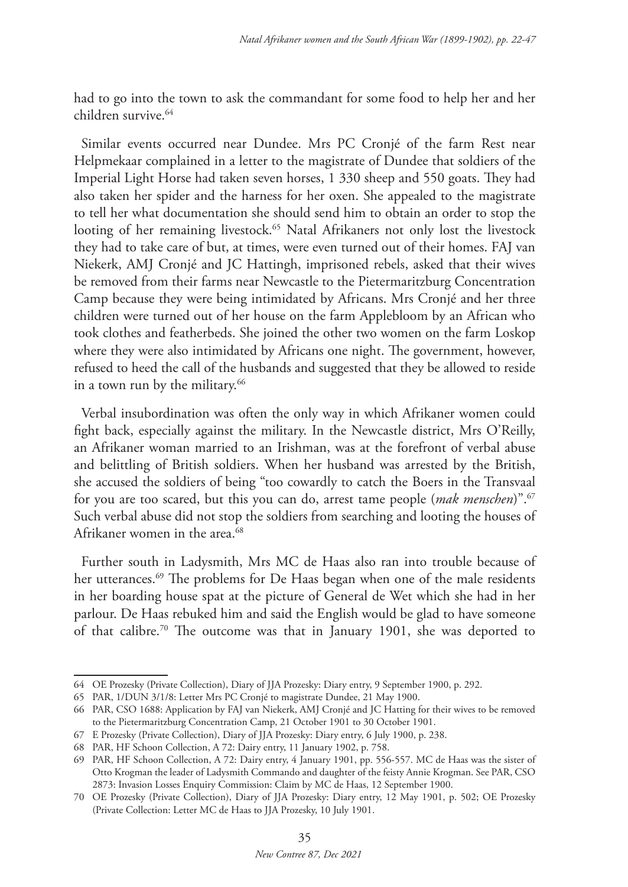had to go into the town to ask the commandant for some food to help her and her children survive<sup>64</sup>

Similar events occurred near Dundee. Mrs PC Cronjé of the farm Rest near Helpmekaar complained in a letter to the magistrate of Dundee that soldiers of the Imperial Light Horse had taken seven horses, 1 330 sheep and 550 goats. They had also taken her spider and the harness for her oxen. She appealed to the magistrate to tell her what documentation she should send him to obtain an order to stop the looting of her remaining livestock.<sup>65</sup> Natal Afrikaners not only lost the livestock they had to take care of but, at times, were even turned out of their homes. FAJ van Niekerk, AMJ Cronjé and JC Hattingh, imprisoned rebels, asked that their wives be removed from their farms near Newcastle to the Pietermaritzburg Concentration Camp because they were being intimidated by Africans. Mrs Cronjé and her three children were turned out of her house on the farm Applebloom by an African who took clothes and featherbeds. She joined the other two women on the farm Loskop where they were also intimidated by Africans one night. The government, however, refused to heed the call of the husbands and suggested that they be allowed to reside in a town run by the military.<sup>66</sup>

Verbal insubordination was often the only way in which Afrikaner women could fight back, especially against the military. In the Newcastle district, Mrs O'Reilly, an Afrikaner woman married to an Irishman, was at the forefront of verbal abuse and belittling of British soldiers. When her husband was arrested by the British, she accused the soldiers of being "too cowardly to catch the Boers in the Transvaal for you are too scared, but this you can do, arrest tame people (*mak menschen*)".67 Such verbal abuse did not stop the soldiers from searching and looting the houses of Afrikaner women in the area.<sup>68</sup>

Further south in Ladysmith, Mrs MC de Haas also ran into trouble because of her utterances.<sup>69</sup> The problems for De Haas began when one of the male residents in her boarding house spat at the picture of General de Wet which she had in her parlour. De Haas rebuked him and said the English would be glad to have someone of that calibre.70 The outcome was that in January 1901, she was deported to

<sup>64</sup> OE Prozesky (Private Collection), Diary of JJA Prozesky: Diary entry, 9 September 1900, p. 292.

<sup>65</sup> PAR, 1/DUN 3/1/8: Letter Mrs PC Cronjé to magistrate Dundee, 21 May 1900.

<sup>66</sup> PAR, CSO 1688: Application by FAJ van Niekerk, AMJ Cronjé and JC Hatting for their wives to be removed to the Pietermaritzburg Concentration Camp, 21 October 1901 to 30 October 1901.

<sup>67</sup> E Prozesky (Private Collection), Diary of JJA Prozesky: Diary entry, 6 July 1900, p. 238.

<sup>68</sup> PAR, HF Schoon Collection, A 72: Dairy entry, 11 January 1902, p. 758.

<sup>69</sup> PAR, HF Schoon Collection, A 72: Dairy entry, 4 January 1901, pp. 556-557. MC de Haas was the sister of Otto Krogman the leader of Ladysmith Commando and daughter of the feisty Annie Krogman. See PAR, CSO 2873: Invasion Losses Enquiry Commission: Claim by MC de Haas, 12 September 1900.

<sup>70</sup> OE Prozesky (Private Collection), Diary of JJA Prozesky: Diary entry, 12 May 1901, p. 502; OE Prozesky (Private Collection: Letter MC de Haas to JJA Prozesky, 10 July 1901.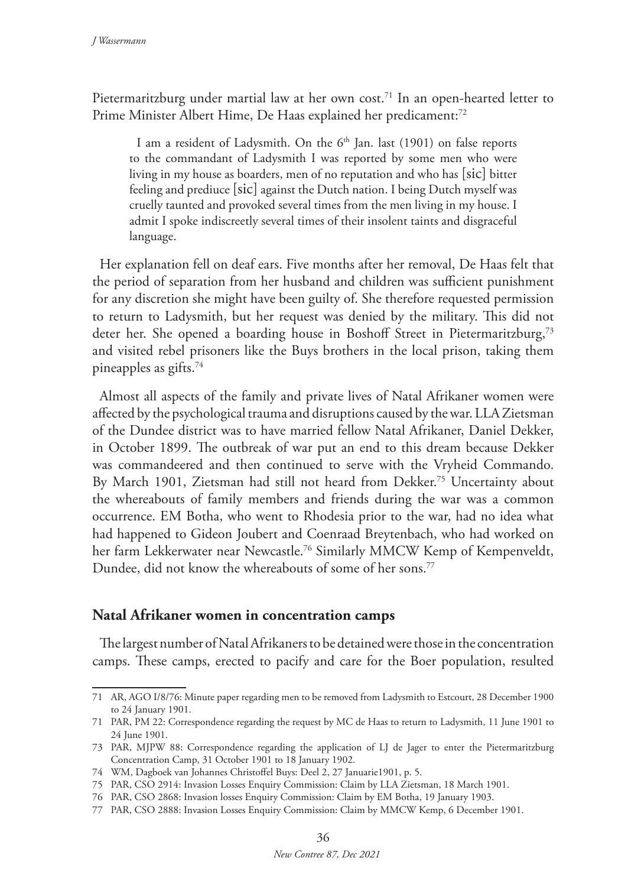Pietermaritzburg under martial law at her own cost.71 In an open-hearted letter to Prime Minister Albert Hime, De Haas explained her predicament:<sup>72</sup>

I am a resident of Ladysmith. On the  $6<sup>th</sup>$  Jan. last (1901) on false reports to the commandant of Ladysmith I was reported by some men who were living in my house as boarders, men of no reputation and who has [sic] bitter feeling and prediuce [sic] against the Dutch nation. I being Dutch myself was cruelly taunted and provoked several times from the men living in my house. I admit I spoke indiscreetly several times of their insolent taints and disgraceful language.

Her explanation fell on deaf ears. Five months after her removal, De Haas felt that the period of separation from her husband and children was sufficient punishment for any discretion she might have been guilty of. She therefore requested permission to return to Ladysmith, but her request was denied by the military. This did not deter her. She opened a boarding house in Boshoff Street in Pietermaritzburg,73 and visited rebel prisoners like the Buys brothers in the local prison, taking them pineapples as gifts.74

Almost all aspects of the family and private lives of Natal Afrikaner women were affected by the psychological trauma and disruptions caused by the war. LLA Zietsman of the Dundee district was to have married fellow Natal Afrikaner, Daniel Dekker, in October 1899. The outbreak of war put an end to this dream because Dekker was commandeered and then continued to serve with the Vryheid Commando. By March 1901, Zietsman had still not heard from Dekker.75 Uncertainty about the whereabouts of family members and friends during the war was a common occurrence. EM Botha, who went to Rhodesia prior to the war, had no idea what had happened to Gideon Joubert and Coenraad Breytenbach, who had worked on her farm Lekkerwater near Newcastle.<sup>76</sup> Similarly MMCW Kemp of Kempenveldt, Dundee, did not know the whereabouts of some of her sons.<sup>77</sup>

## **Natal Afrikaner women in concentration camps**

The largest number of Natal Afrikaners to be detained were those in the concentration camps. These camps, erected to pacify and care for the Boer population, resulted

<sup>71</sup> AR, AGO I/8/76: Minute paper regarding men to be removed from Ladysmith to Estcourt, 28 December 1900 to 24 January 1901.

<sup>71</sup> PAR, PM 22: Correspondence regarding the request by MC de Haas to return to Ladysmith, 11 June 1901 to 24 June 1901.

<sup>73</sup> PAR, MJPW 88: Correspondence regarding the application of LJ de Jager to enter the Pietermaritzburg Concentration Camp, 31 October 1901 to 18 January 1902.

<sup>74</sup> WM, Dagboek van Johannes Christoffel Buys: Deel 2, 27 Januarie1901, p. 5.

<sup>75</sup> PAR, CSO 2914: Invasion Losses Enquiry Commission: Claim by LLA Zietsman, 18 March 1901.

<sup>76</sup> PAR, CSO 2868: Invasion losses Enquiry Commission: Claim by EM Botha, 19 January 1903.

<sup>77</sup> PAR, CSO 2888: Invasion Losses Enquiry Commission: Claim by MMCW Kemp, 6 December 1901.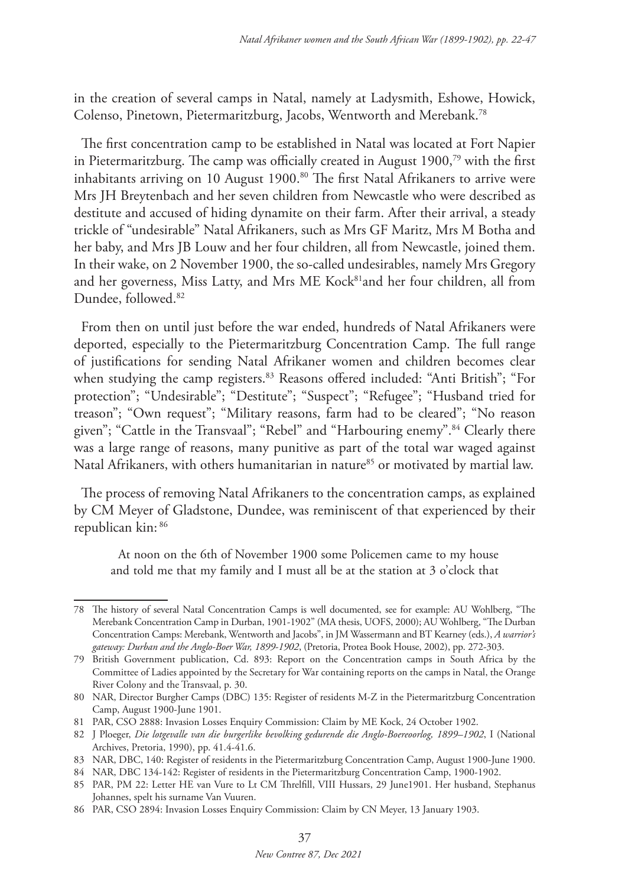in the creation of several camps in Natal, namely at Ladysmith, Eshowe, Howick, Colenso, Pinetown, Pietermaritzburg, Jacobs, Wentworth and Merebank.78

The first concentration camp to be established in Natal was located at Fort Napier in Pietermaritzburg. The camp was officially created in August 1900,79 with the first inhabitants arriving on 10 August 1900.<sup>80</sup> The first Natal Afrikaners to arrive were Mrs JH Breytenbach and her seven children from Newcastle who were described as destitute and accused of hiding dynamite on their farm. After their arrival, a steady trickle of "undesirable" Natal Afrikaners, such as Mrs GF Maritz, Mrs M Botha and her baby, and Mrs JB Louw and her four children, all from Newcastle, joined them. In their wake, on 2 November 1900, the so-called undesirables, namely Mrs Gregory and her governess, Miss Latty, and Mrs ME Kock<sup>81</sup>and her four children, all from Dundee, followed.82

From then on until just before the war ended, hundreds of Natal Afrikaners were deported, especially to the Pietermaritzburg Concentration Camp. The full range of justifications for sending Natal Afrikaner women and children becomes clear when studying the camp registers.<sup>83</sup> Reasons offered included: "Anti British"; "For protection"; "Undesirable"; "Destitute"; "Suspect"; "Refugee"; "Husband tried for treason"; "Own request"; "Military reasons, farm had to be cleared"; "No reason given"; "Cattle in the Transvaal"; "Rebel" and "Harbouring enemy".<sup>84</sup> Clearly there was a large range of reasons, many punitive as part of the total war waged against Natal Afrikaners, with others humanitarian in nature<sup>85</sup> or motivated by martial law.

The process of removing Natal Afrikaners to the concentration camps, as explained by CM Meyer of Gladstone, Dundee, was reminiscent of that experienced by their republican kin: <sup>86</sup>

At noon on the 6th of November 1900 some Policemen came to my house and told me that my family and I must all be at the station at 3 o'clock that

<sup>78</sup> The history of several Natal Concentration Camps is well documented, see for example: AU Wohlberg, "The Merebank Concentration Camp in Durban, 1901-1902" (MA thesis, UOFS, 2000); AU Wohlberg, "The Durban Concentration Camps: Merebank, Wentworth and Jacobs", in JM Wassermann and BT Kearney (eds.), *A warrior's gateway: Durban and the Anglo-Boer War, 1899-1902*, (Pretoria, Protea Book House, 2002), pp. 272-303.

<sup>79</sup> British Government publication, Cd. 893: Report on the Concentration camps in South Africa by the Committee of Ladies appointed by the Secretary for War containing reports on the camps in Natal, the Orange River Colony and the Transvaal, p. 30.

<sup>80</sup> NAR, Director Burgher Camps (DBC) 135: Register of residents M-Z in the Pietermaritzburg Concentration Camp, August 1900-June 1901.

<sup>81</sup> PAR, CSO 2888: Invasion Losses Enquiry Commission: Claim by ME Kock, 24 October 1902.

<sup>82</sup> J Ploeger, *Die lotgevalle van die burgerlike bevolking gedurende die Anglo-Boereoorlog, 1899–1902*, I (National Archives, Pretoria, 1990), pp. 41.4-41.6.

<sup>83</sup> NAR, DBC, 140: Register of residents in the Pietermaritzburg Concentration Camp, August 1900-June 1900.

<sup>84</sup> NAR, DBC 134-142: Register of residents in the Pietermaritzburg Concentration Camp, 1900-1902.

<sup>85</sup> PAR, PM 22: Letter HE van Vure to Lt CM Threlfill, VIII Hussars, 29 June1901. Her husband, Stephanus Johannes, spelt his surname Van Vuuren.

<sup>86</sup> PAR, CSO 2894: Invasion Losses Enquiry Commission: Claim by CN Meyer, 13 January 1903.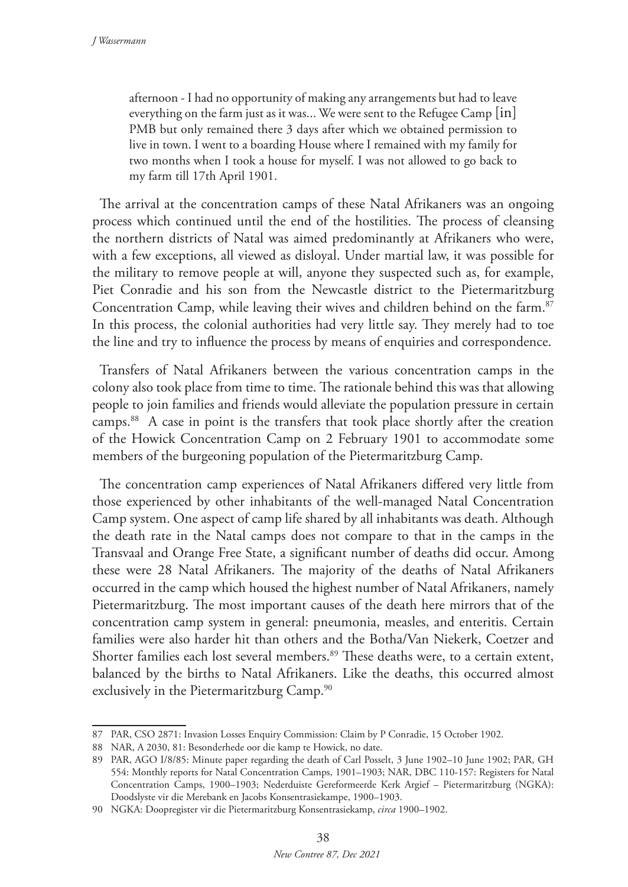afternoon - I had no opportunity of making any arrangements but had to leave everything on the farm just as it was... We were sent to the Refugee Camp [in] PMB but only remained there 3 days after which we obtained permission to live in town. I went to a boarding House where I remained with my family for two months when I took a house for myself. I was not allowed to go back to my farm till 17th April 1901.

The arrival at the concentration camps of these Natal Afrikaners was an ongoing process which continued until the end of the hostilities. The process of cleansing the northern districts of Natal was aimed predominantly at Afrikaners who were, with a few exceptions, all viewed as disloyal. Under martial law, it was possible for the military to remove people at will, anyone they suspected such as, for example, Piet Conradie and his son from the Newcastle district to the Pietermaritzburg Concentration Camp, while leaving their wives and children behind on the farm.<sup>87</sup> In this process, the colonial authorities had very little say. They merely had to toe the line and try to influence the process by means of enquiries and correspondence.

Transfers of Natal Afrikaners between the various concentration camps in the colony also took place from time to time. The rationale behind this was that allowing people to join families and friends would alleviate the population pressure in certain camps.88 A case in point is the transfers that took place shortly after the creation of the Howick Concentration Camp on 2 February 1901 to accommodate some members of the burgeoning population of the Pietermaritzburg Camp.

The concentration camp experiences of Natal Afrikaners differed very little from those experienced by other inhabitants of the well-managed Natal Concentration Camp system. One aspect of camp life shared by all inhabitants was death. Although the death rate in the Natal camps does not compare to that in the camps in the Transvaal and Orange Free State, a significant number of deaths did occur. Among these were 28 Natal Afrikaners. The majority of the deaths of Natal Afrikaners occurred in the camp which housed the highest number of Natal Afrikaners, namely Pietermaritzburg. The most important causes of the death here mirrors that of the concentration camp system in general: pneumonia, measles, and enteritis. Certain families were also harder hit than others and the Botha/Van Niekerk, Coetzer and Shorter families each lost several members.<sup>89</sup> These deaths were, to a certain extent, balanced by the births to Natal Afrikaners. Like the deaths, this occurred almost exclusively in the Pietermaritzburg Camp.<sup>90</sup>

<sup>87</sup> PAR, CSO 2871: Invasion Losses Enquiry Commission: Claim by P Conradie, 15 October 1902.

<sup>88</sup> NAR, A 2030, 81: Besonderhede oor die kamp te Howick, no date.

<sup>89</sup> PAR, AGO I/8/85: Minute paper regarding the death of Carl Posselt, 3 June 1902–10 June 1902; PAR, GH 554: Monthly reports for Natal Concentration Camps, 1901–1903; NAR, DBC 110-157: Registers for Natal Concentration Camps, 1900–1903; Nederduiste Gereformeerde Kerk Argief – Pietermaritzburg (NGKA): Doodslyste vir die Merebank en Jacobs Konsentrasiekampe, 1900–1903.

<sup>90</sup> NGKA: Doopregister vir die Pietermaritzburg Konsentrasiekamp, *circa* 1900–1902.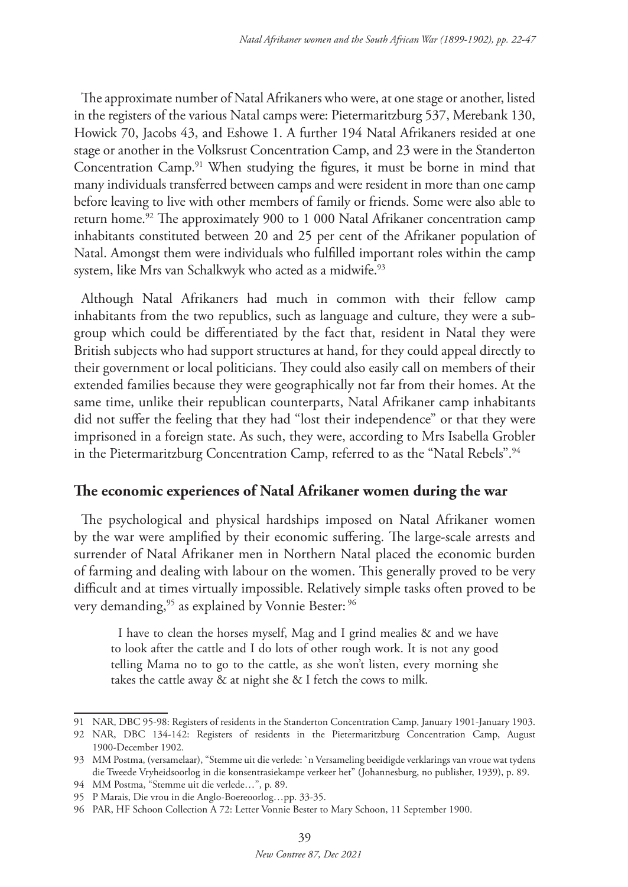The approximate number of Natal Afrikaners who were, at one stage or another, listed in the registers of the various Natal camps were: Pietermaritzburg 537, Merebank 130, Howick 70, Jacobs 43, and Eshowe 1. A further 194 Natal Afrikaners resided at one stage or another in the Volksrust Concentration Camp, and 23 were in the Standerton Concentration Camp.91 When studying the figures, it must be borne in mind that many individuals transferred between camps and were resident in more than one camp before leaving to live with other members of family or friends. Some were also able to return home.<sup>92</sup> The approximately 900 to 1 000 Natal Afrikaner concentration camp inhabitants constituted between 20 and 25 per cent of the Afrikaner population of Natal. Amongst them were individuals who fulfilled important roles within the camp system, like Mrs van Schalkwyk who acted as a midwife.93

Although Natal Afrikaners had much in common with their fellow camp inhabitants from the two republics, such as language and culture, they were a subgroup which could be differentiated by the fact that, resident in Natal they were British subjects who had support structures at hand, for they could appeal directly to their government or local politicians. They could also easily call on members of their extended families because they were geographically not far from their homes. At the same time, unlike their republican counterparts, Natal Afrikaner camp inhabitants did not suffer the feeling that they had "lost their independence" or that they were imprisoned in a foreign state. As such, they were, according to Mrs Isabella Grobler in the Pietermaritzburg Concentration Camp, referred to as the "Natal Rebels".<sup>94</sup>

### **The economic experiences of Natal Afrikaner women during the war**

The psychological and physical hardships imposed on Natal Afrikaner women by the war were amplified by their economic suffering. The large-scale arrests and surrender of Natal Afrikaner men in Northern Natal placed the economic burden of farming and dealing with labour on the women. This generally proved to be very difficult and at times virtually impossible. Relatively simple tasks often proved to be very demanding,<sup>95</sup> as explained by Vonnie Bester:<sup>96</sup>

I have to clean the horses myself, Mag and I grind mealies & and we have to look after the cattle and I do lots of other rough work. It is not any good telling Mama no to go to the cattle, as she won't listen, every morning she takes the cattle away & at night she & I fetch the cows to milk.

<sup>91</sup> NAR, DBC 95-98: Registers of residents in the Standerton Concentration Camp, January 1901-January 1903.

<sup>92</sup> NAR, DBC 134-142: Registers of residents in the Pietermaritzburg Concentration Camp, August 1900-December 1902.

<sup>93</sup> MM Postma, (versamelaar), "Stemme uit die verlede: `n Versameling beeidigde verklarings van vroue wat tydens die Tweede Vryheidsoorlog in die konsentrasiekampe verkeer het" (Johannesburg, no publisher, 1939), p. 89.

<sup>94</sup> MM Postma, "Stemme uit die verlede…", p. 89.

<sup>95</sup> P Marais, Die vrou in die Anglo-Boereoorlog…pp. 33-35.

<sup>96</sup> PAR, HF Schoon Collection A 72: Letter Vonnie Bester to Mary Schoon, 11 September 1900.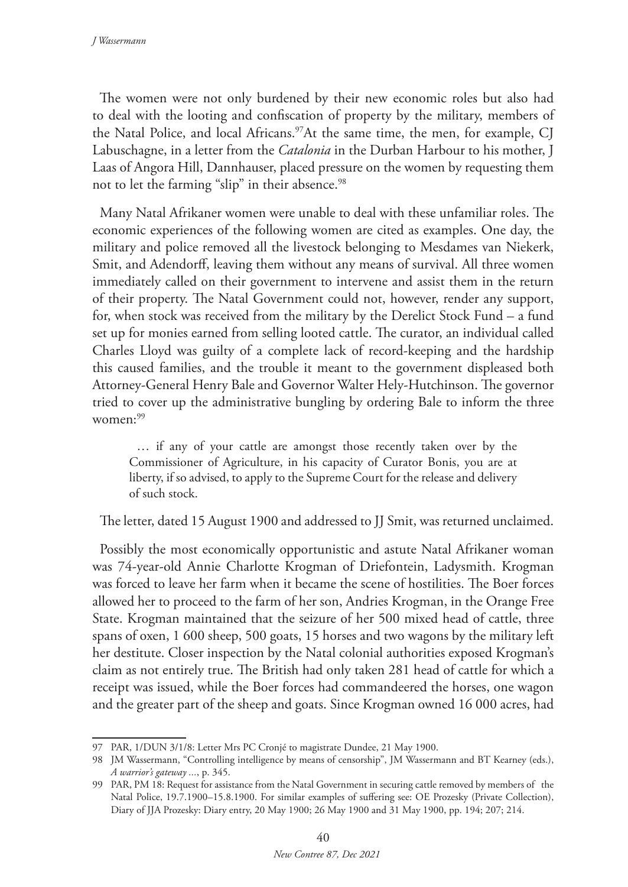The women were not only burdened by their new economic roles but also had to deal with the looting and confiscation of property by the military, members of the Natal Police, and local Africans.<sup>97</sup>At the same time, the men, for example, CJ Labuschagne, in a letter from the *Catalonia* in the Durban Harbour to his mother, J Laas of Angora Hill, Dannhauser, placed pressure on the women by requesting them not to let the farming "slip" in their absence.<sup>98</sup>

Many Natal Afrikaner women were unable to deal with these unfamiliar roles. The economic experiences of the following women are cited as examples. One day, the military and police removed all the livestock belonging to Mesdames van Niekerk, Smit, and Adendorff, leaving them without any means of survival. All three women immediately called on their government to intervene and assist them in the return of their property. The Natal Government could not, however, render any support, for, when stock was received from the military by the Derelict Stock Fund – a fund set up for monies earned from selling looted cattle. The curator, an individual called Charles Lloyd was guilty of a complete lack of record-keeping and the hardship this caused families, and the trouble it meant to the government displeased both Attorney-General Henry Bale and Governor Walter Hely-Hutchinson. The governor tried to cover up the administrative bungling by ordering Bale to inform the three women:99

… if any of your cattle are amongst those recently taken over by the Commissioner of Agriculture, in his capacity of Curator Bonis, you are at liberty, if so advised, to apply to the Supreme Court for the release and delivery of such stock.

The letter, dated 15 August 1900 and addressed to JJ Smit, was returned unclaimed.

Possibly the most economically opportunistic and astute Natal Afrikaner woman was 74-year-old Annie Charlotte Krogman of Driefontein, Ladysmith. Krogman was forced to leave her farm when it became the scene of hostilities. The Boer forces allowed her to proceed to the farm of her son, Andries Krogman, in the Orange Free State. Krogman maintained that the seizure of her 500 mixed head of cattle, three spans of oxen, 1 600 sheep, 500 goats, 15 horses and two wagons by the military left her destitute. Closer inspection by the Natal colonial authorities exposed Krogman's claim as not entirely true. The British had only taken 281 head of cattle for which a receipt was issued, while the Boer forces had commandeered the horses, one wagon and the greater part of the sheep and goats. Since Krogman owned 16 000 acres, had

<sup>97</sup> PAR, 1/DUN 3/1/8: Letter Mrs PC Cronjé to magistrate Dundee, 21 May 1900.

<sup>98</sup> JM Wassermann, "Controlling intelligence by means of censorship", JM Wassermann and BT Kearney (eds.), *A warrior's gateway ...*, p. 345.

<sup>99</sup> PAR, PM 18: Request for assistance from the Natal Government in securing cattle removed by members of the Natal Police, 19.7.1900–15.8.1900. For similar examples of suffering see: OE Prozesky (Private Collection), Diary of JJA Prozesky: Diary entry, 20 May 1900; 26 May 1900 and 31 May 1900, pp. 194; 207; 214.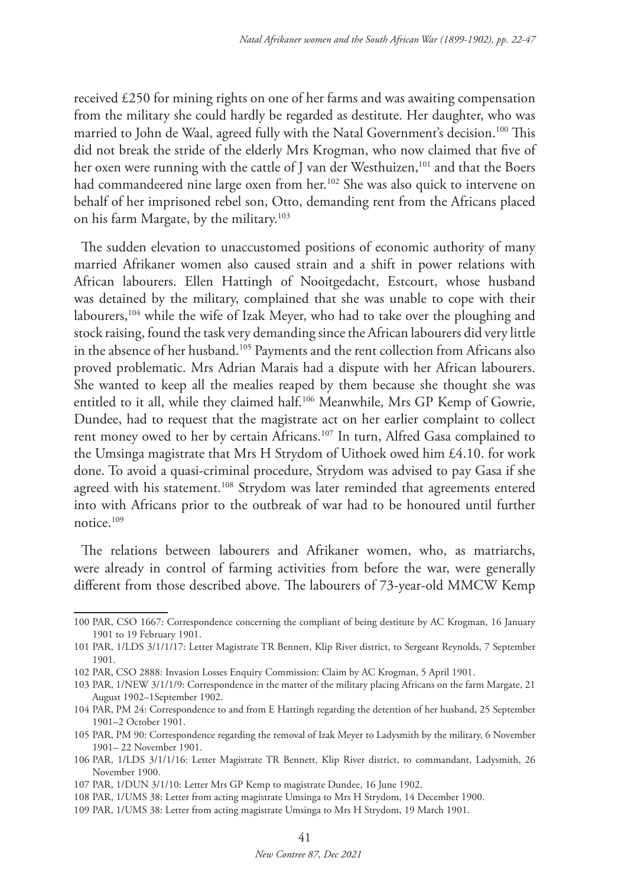received £250 for mining rights on one of her farms and was awaiting compensation from the military she could hardly be regarded as destitute. Her daughter, who was married to John de Waal, agreed fully with the Natal Government's decision.<sup>100</sup> This did not break the stride of the elderly Mrs Krogman, who now claimed that five of her oxen were running with the cattle of J van der Westhuizen,<sup>101</sup> and that the Boers had commandeered nine large oxen from her.<sup>102</sup> She was also quick to intervene on behalf of her imprisoned rebel son, Otto, demanding rent from the Africans placed on his farm Margate, by the military.103

The sudden elevation to unaccustomed positions of economic authority of many married Afrikaner women also caused strain and a shift in power relations with African labourers. Ellen Hattingh of Nooitgedacht, Estcourt, whose husband was detained by the military, complained that she was unable to cope with their labourers,<sup>104</sup> while the wife of Izak Meyer, who had to take over the ploughing and stock raising, found the task very demanding since the African labourers did very little in the absence of her husband.<sup>105</sup> Payments and the rent collection from Africans also proved problematic. Mrs Adrian Marais had a dispute with her African labourers. She wanted to keep all the mealies reaped by them because she thought she was entitled to it all, while they claimed half.106 Meanwhile, Mrs GP Kemp of Gowrie, Dundee, had to request that the magistrate act on her earlier complaint to collect rent money owed to her by certain Africans.<sup>107</sup> In turn, Alfred Gasa complained to the Umsinga magistrate that Mrs H Strydom of Uithoek owed him £4.10. for work done. To avoid a quasi-criminal procedure, Strydom was advised to pay Gasa if she agreed with his statement.<sup>108</sup> Strydom was later reminded that agreements entered into with Africans prior to the outbreak of war had to be honoured until further notice.109

The relations between labourers and Afrikaner women, who, as matriarchs, were already in control of farming activities from before the war, were generally different from those described above. The labourers of 73-year-old MMCW Kemp

<sup>100</sup> PAR, CSO 1667: Correspondence concerning the compliant of being destitute by AC Krogman, 16 January 1901 to 19 February 1901.

<sup>101</sup> PAR, 1/LDS 3/1/1/17: Letter Magistrate TR Bennett, Klip River district, to Sergeant Reynolds, 7 September 1901.

<sup>102</sup> PAR, CSO 2888: Invasion Losses Enquiry Commission: Claim by AC Krogman, 5 April 1901.

<sup>103</sup> PAR, 1/NEW 3/1/1/9: Correspondence in the matter of the military placing Africans on the farm Margate, 21 August 1902–1September 1902.

<sup>104</sup> PAR, PM 24: Correspondence to and from E Hattingh regarding the detention of her husband, 25 September 1901–2 October 1901.

<sup>105</sup> PAR, PM 90: Correspondence regarding the removal of Izak Meyer to Ladysmith by the military, 6 November 1901– 22 November 1901.

<sup>106</sup> PAR, 1/LDS 3/1/1/16: Letter Magistrate TR Bennett, Klip River district, to commandant, Ladysmith, 26 November 1900.

<sup>107</sup> PAR, 1/DUN 3/1/10: Letter Mrs GP Kemp to magistrate Dundee, 16 June 1902.

<sup>108</sup> PAR, 1/UMS 38: Letter from acting magistrate Umsinga to Mrs H Strydom, 14 December 1900.

<sup>109</sup> PAR, 1/UMS 38: Letter from acting magistrate Umsinga to Mrs H Strydom, 19 March 1901.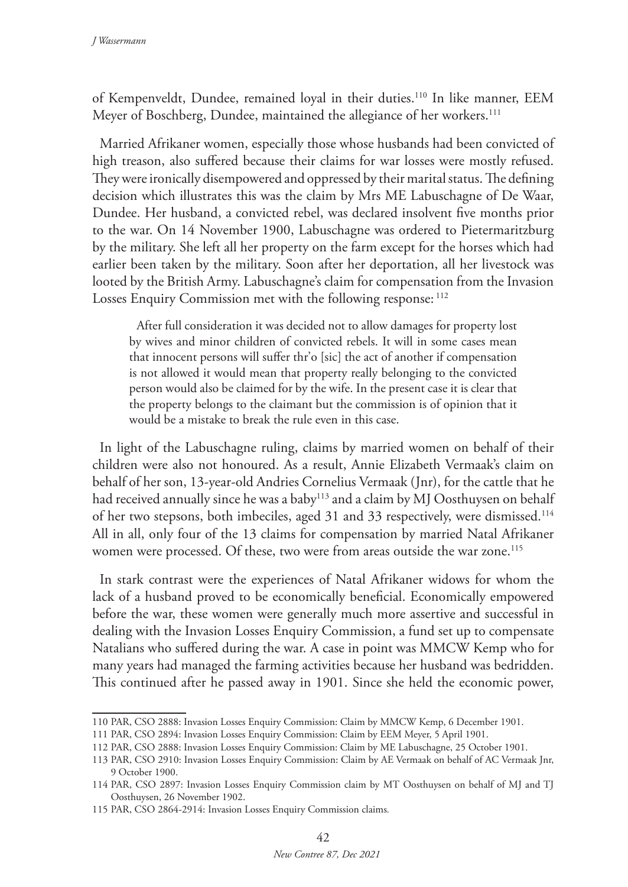of Kempenveldt, Dundee, remained loyal in their duties.110 In like manner, EEM Meyer of Boschberg, Dundee, maintained the allegiance of her workers.<sup>111</sup>

Married Afrikaner women, especially those whose husbands had been convicted of high treason, also suffered because their claims for war losses were mostly refused. They were ironically disempowered and oppressed by their marital status. The defining decision which illustrates this was the claim by Mrs ME Labuschagne of De Waar, Dundee. Her husband, a convicted rebel, was declared insolvent five months prior to the war. On 14 November 1900, Labuschagne was ordered to Pietermaritzburg by the military. She left all her property on the farm except for the horses which had earlier been taken by the military. Soon after her deportation, all her livestock was looted by the British Army. Labuschagne's claim for compensation from the Invasion Losses Enquiry Commission met with the following response: <sup>112</sup>

After full consideration it was decided not to allow damages for property lost by wives and minor children of convicted rebels. It will in some cases mean that innocent persons will suffer thr'o [sic] the act of another if compensation is not allowed it would mean that property really belonging to the convicted person would also be claimed for by the wife. In the present case it is clear that the property belongs to the claimant but the commission is of opinion that it would be a mistake to break the rule even in this case.

In light of the Labuschagne ruling, claims by married women on behalf of their children were also not honoured. As a result, Annie Elizabeth Vermaak's claim on behalf of her son, 13-year-old Andries Cornelius Vermaak (Jnr), for the cattle that he had received annually since he was a baby<sup>113</sup> and a claim by MJ Oosthuysen on behalf of her two stepsons, both imbeciles, aged 31 and 33 respectively, were dismissed.114 All in all, only four of the 13 claims for compensation by married Natal Afrikaner women were processed. Of these, two were from areas outside the war zone.<sup>115</sup>

In stark contrast were the experiences of Natal Afrikaner widows for whom the lack of a husband proved to be economically beneficial. Economically empowered before the war, these women were generally much more assertive and successful in dealing with the Invasion Losses Enquiry Commission, a fund set up to compensate Natalians who suffered during the war. A case in point was MMCW Kemp who for many years had managed the farming activities because her husband was bedridden. This continued after he passed away in 1901. Since she held the economic power,

<sup>110</sup> PAR, CSO 2888: Invasion Losses Enquiry Commission: Claim by MMCW Kemp, 6 December 1901.

<sup>111</sup> PAR, CSO 2894: Invasion Losses Enquiry Commission: Claim by EEM Meyer, 5 April 1901.

<sup>112</sup> PAR, CSO 2888: Invasion Losses Enquiry Commission: Claim by ME Labuschagne, 25 October 1901.

<sup>113</sup> PAR, CSO 2910: Invasion Losses Enquiry Commission: Claim by AE Vermaak on behalf of AC Vermaak Jnr, 9 October 1900.

<sup>114</sup> PAR, CSO 2897: Invasion Losses Enquiry Commission claim by MT Oosthuysen on behalf of MJ and TJ Oosthuysen, 26 November 1902.

<sup>115</sup> PAR, CSO 2864-2914: Invasion Losses Enquiry Commission claims*.*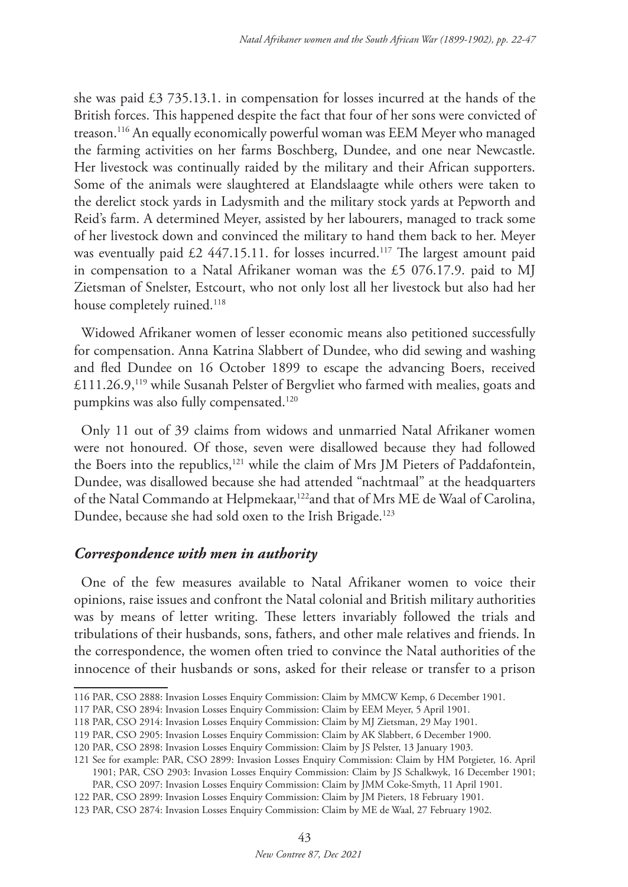she was paid £3 735.13.1. in compensation for losses incurred at the hands of the British forces. This happened despite the fact that four of her sons were convicted of treason.116 An equally economically powerful woman was EEM Meyer who managed the farming activities on her farms Boschberg, Dundee, and one near Newcastle. Her livestock was continually raided by the military and their African supporters. Some of the animals were slaughtered at Elandslaagte while others were taken to the derelict stock yards in Ladysmith and the military stock yards at Pepworth and Reid's farm. A determined Meyer, assisted by her labourers, managed to track some of her livestock down and convinced the military to hand them back to her. Meyer was eventually paid  $£2$  447.15.11. for losses incurred.<sup>117</sup> The largest amount paid in compensation to a Natal Afrikaner woman was the £5 076.17.9. paid to MJ Zietsman of Snelster, Estcourt, who not only lost all her livestock but also had her house completely ruined.<sup>118</sup>

Widowed Afrikaner women of lesser economic means also petitioned successfully for compensation. Anna Katrina Slabbert of Dundee, who did sewing and washing and fled Dundee on 16 October 1899 to escape the advancing Boers, received £111.26.9,119 while Susanah Pelster of Bergvliet who farmed with mealies, goats and pumpkins was also fully compensated.<sup>120</sup>

Only 11 out of 39 claims from widows and unmarried Natal Afrikaner women were not honoured. Of those, seven were disallowed because they had followed the Boers into the republics,<sup>121</sup> while the claim of Mrs JM Pieters of Paddafontein, Dundee, was disallowed because she had attended "nachtmaal" at the headquarters of the Natal Commando at Helpmekaar,<sup>122</sup>and that of Mrs ME de Waal of Carolina, Dundee, because she had sold oxen to the Irish Brigade.<sup>123</sup>

# *Correspondence with men in authority*

One of the few measures available to Natal Afrikaner women to voice their opinions, raise issues and confront the Natal colonial and British military authorities was by means of letter writing. These letters invariably followed the trials and tribulations of their husbands, sons, fathers, and other male relatives and friends. In the correspondence, the women often tried to convince the Natal authorities of the innocence of their husbands or sons, asked for their release or transfer to a prison

<sup>116</sup> PAR, CSO 2888: Invasion Losses Enquiry Commission: Claim by MMCW Kemp, 6 December 1901.

<sup>117</sup> PAR, CSO 2894: Invasion Losses Enquiry Commission: Claim by EEM Meyer, 5 April 1901.

<sup>118</sup> PAR, CSO 2914: Invasion Losses Enquiry Commission: Claim by MJ Zietsman, 29 May 1901.

<sup>119</sup> PAR, CSO 2905: Invasion Losses Enquiry Commission: Claim by AK Slabbert, 6 December 1900.

<sup>120</sup> PAR, CSO 2898: Invasion Losses Enquiry Commission: Claim by JS Pelster, 13 January 1903.

<sup>121</sup> See for example: PAR, CSO 2899: Invasion Losses Enquiry Commission: Claim by HM Potgieter, 16. April 1901; PAR, CSO 2903: Invasion Losses Enquiry Commission: Claim by JS Schalkwyk, 16 December 1901; PAR, CSO 2097: Invasion Losses Enquiry Commission: Claim by JMM Coke-Smyth, 11 April 1901.

<sup>122</sup> PAR, CSO 2899: Invasion Losses Enquiry Commission: Claim by JM Pieters, 18 February 1901.

<sup>123</sup> PAR, CSO 2874: Invasion Losses Enquiry Commission: Claim by ME de Waal, 27 February 1902.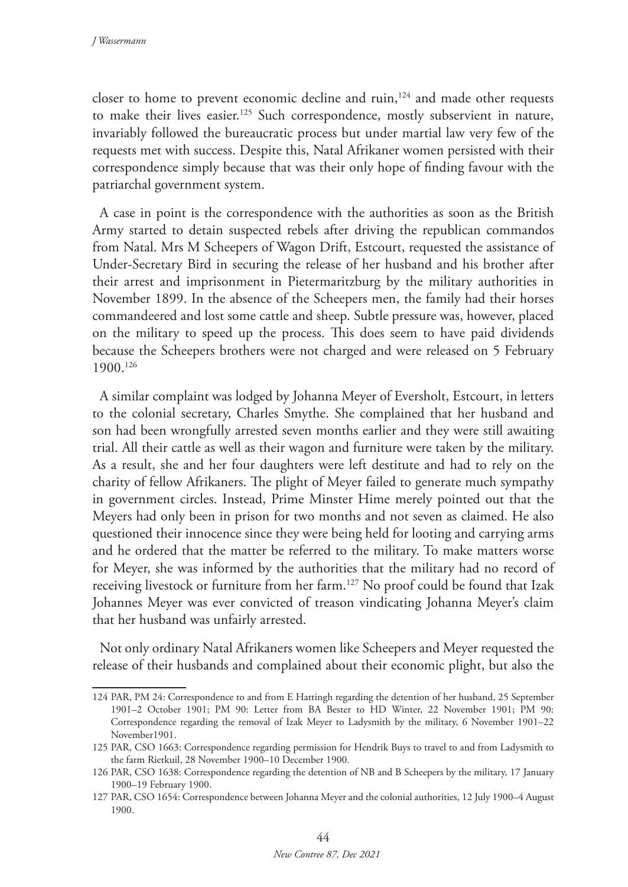closer to home to prevent economic decline and ruin,<sup>124</sup> and made other requests to make their lives easier.<sup>125</sup> Such correspondence, mostly subservient in nature, invariably followed the bureaucratic process but under martial law very few of the requests met with success. Despite this, Natal Afrikaner women persisted with their correspondence simply because that was their only hope of finding favour with the patriarchal government system.

A case in point is the correspondence with the authorities as soon as the British Army started to detain suspected rebels after driving the republican commandos from Natal. Mrs M Scheepers of Wagon Drift, Estcourt, requested the assistance of Under-Secretary Bird in securing the release of her husband and his brother after their arrest and imprisonment in Pietermaritzburg by the military authorities in November 1899. In the absence of the Scheepers men, the family had their horses commandeered and lost some cattle and sheep. Subtle pressure was, however, placed on the military to speed up the process. This does seem to have paid dividends because the Scheepers brothers were not charged and were released on 5 February 1900.126

A similar complaint was lodged by Johanna Meyer of Eversholt, Estcourt, in letters to the colonial secretary, Charles Smythe. She complained that her husband and son had been wrongfully arrested seven months earlier and they were still awaiting trial. All their cattle as well as their wagon and furniture were taken by the military. As a result, she and her four daughters were left destitute and had to rely on the charity of fellow Afrikaners. The plight of Meyer failed to generate much sympathy in government circles. Instead, Prime Minster Hime merely pointed out that the Meyers had only been in prison for two months and not seven as claimed. He also questioned their innocence since they were being held for looting and carrying arms and he ordered that the matter be referred to the military. To make matters worse for Meyer, she was informed by the authorities that the military had no record of receiving livestock or furniture from her farm.127 No proof could be found that Izak Johannes Meyer was ever convicted of treason vindicating Johanna Meyer's claim that her husband was unfairly arrested.

Not only ordinary Natal Afrikaners women like Scheepers and Meyer requested the release of their husbands and complained about their economic plight, but also the

<sup>124</sup> PAR, PM 24: Correspondence to and from E Hattingh regarding the detention of her husband, 25 September 1901–2 October 1901; PM 90: Letter from BA Bester to HD Winter, 22 November 1901; PM 90: Correspondence regarding the removal of Izak Meyer to Ladysmith by the military, 6 November 1901–22 November1901.

<sup>125</sup> PAR, CSO 1663: Correspondence regarding permission for Hendrik Buys to travel to and from Ladysmith to the farm Rietkuil, 28 November 1900–10 December 1900.

<sup>126</sup> PAR, CSO 1638: Correspondence regarding the detention of NB and B Scheepers by the military, 17 January 1900–19 February 1900.

<sup>127</sup> PAR, CSO 1654: Correspondence between Johanna Meyer and the colonial authorities, 12 July 1900–4 August 1900.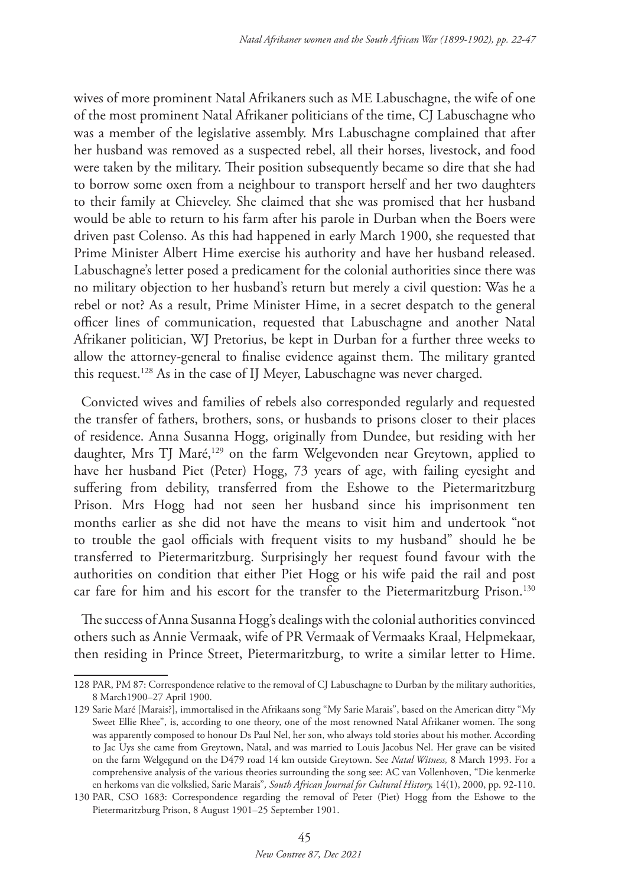wives of more prominent Natal Afrikaners such as ME Labuschagne, the wife of one of the most prominent Natal Afrikaner politicians of the time, CJ Labuschagne who was a member of the legislative assembly. Mrs Labuschagne complained that after her husband was removed as a suspected rebel, all their horses, livestock, and food were taken by the military. Their position subsequently became so dire that she had to borrow some oxen from a neighbour to transport herself and her two daughters to their family at Chieveley. She claimed that she was promised that her husband would be able to return to his farm after his parole in Durban when the Boers were driven past Colenso. As this had happened in early March 1900, she requested that Prime Minister Albert Hime exercise his authority and have her husband released. Labuschagne's letter posed a predicament for the colonial authorities since there was no military objection to her husband's return but merely a civil question: Was he a rebel or not? As a result, Prime Minister Hime, in a secret despatch to the general officer lines of communication, requested that Labuschagne and another Natal Afrikaner politician, WJ Pretorius, be kept in Durban for a further three weeks to allow the attorney-general to finalise evidence against them. The military granted this request.128 As in the case of IJ Meyer, Labuschagne was never charged.

Convicted wives and families of rebels also corresponded regularly and requested the transfer of fathers, brothers, sons, or husbands to prisons closer to their places of residence. Anna Susanna Hogg, originally from Dundee, but residing with her daughter, Mrs TJ Maré,<sup>129</sup> on the farm Welgevonden near Greytown, applied to have her husband Piet (Peter) Hogg, 73 years of age, with failing eyesight and suffering from debility, transferred from the Eshowe to the Pietermaritzburg Prison. Mrs Hogg had not seen her husband since his imprisonment ten months earlier as she did not have the means to visit him and undertook "not to trouble the gaol officials with frequent visits to my husband" should he be transferred to Pietermaritzburg. Surprisingly her request found favour with the authorities on condition that either Piet Hogg or his wife paid the rail and post car fare for him and his escort for the transfer to the Pietermaritzburg Prison.<sup>130</sup>

The success of Anna Susanna Hogg's dealings with the colonial authorities convinced others such as Annie Vermaak, wife of PR Vermaak of Vermaaks Kraal, Helpmekaar, then residing in Prince Street, Pietermaritzburg, to write a similar letter to Hime.

<sup>128</sup> PAR, PM 87: Correspondence relative to the removal of CJ Labuschagne to Durban by the military authorities, 8 March1900–27 April 1900.

<sup>129</sup> Sarie Maré [Marais?], immortalised in the Afrikaans song "My Sarie Marais", based on the American ditty "My Sweet Ellie Rhee", is, according to one theory, one of the most renowned Natal Afrikaner women. The song was apparently composed to honour Ds Paul Nel, her son, who always told stories about his mother. According to Jac Uys she came from Greytown, Natal, and was married to Louis Jacobus Nel. Her grave can be visited on the farm Welgegund on the D479 road 14 km outside Greytown. See *Natal Witness,* 8 March 1993. For a comprehensive analysis of the various theories surrounding the song see: AC van Vollenhoven, "Die kenmerke en herkoms van die volkslied, Sarie Marais"*, South African Journal for Cultural History,* 14(1), 2000, pp. 92-110.

<sup>130</sup> PAR, CSO 1683: Correspondence regarding the removal of Peter (Piet) Hogg from the Eshowe to the Pietermaritzburg Prison, 8 August 1901–25 September 1901.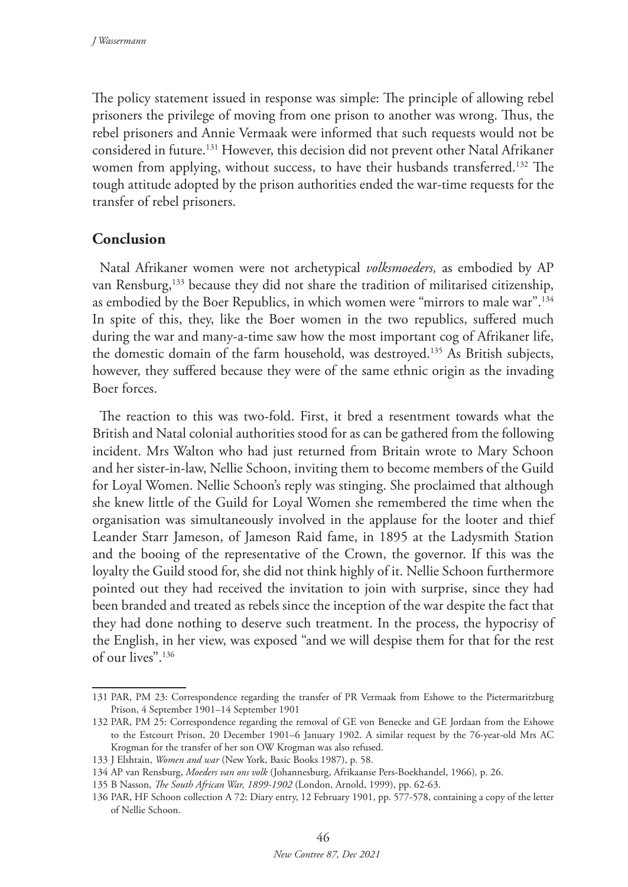The policy statement issued in response was simple: The principle of allowing rebel prisoners the privilege of moving from one prison to another was wrong. Thus, the rebel prisoners and Annie Vermaak were informed that such requests would not be considered in future.131 However, this decision did not prevent other Natal Afrikaner women from applying, without success, to have their husbands transferred.<sup>132</sup> The tough attitude adopted by the prison authorities ended the war-time requests for the transfer of rebel prisoners.

# **Conclusion**

Natal Afrikaner women were not archetypical *volksmoeders,* as embodied by AP van Rensburg,<sup>133</sup> because they did not share the tradition of militarised citizenship, as embodied by the Boer Republics, in which women were "mirrors to male war".134 In spite of this, they, like the Boer women in the two republics, suffered much during the war and many-a-time saw how the most important cog of Afrikaner life, the domestic domain of the farm household, was destroyed.135 As British subjects, however, they suffered because they were of the same ethnic origin as the invading Boer forces.

The reaction to this was two-fold. First, it bred a resentment towards what the British and Natal colonial authorities stood for as can be gathered from the following incident. Mrs Walton who had just returned from Britain wrote to Mary Schoon and her sister-in-law, Nellie Schoon, inviting them to become members of the Guild for Loyal Women. Nellie Schoon's reply was stinging. She proclaimed that although she knew little of the Guild for Loyal Women she remembered the time when the organisation was simultaneously involved in the applause for the looter and thief Leander Starr Jameson, of Jameson Raid fame, in 1895 at the Ladysmith Station and the booing of the representative of the Crown, the governor. If this was the loyalty the Guild stood for, she did not think highly of it. Nellie Schoon furthermore pointed out they had received the invitation to join with surprise, since they had been branded and treated as rebels since the inception of the war despite the fact that they had done nothing to deserve such treatment. In the process, the hypocrisy of the English, in her view, was exposed "and we will despise them for that for the rest of our lives".136

<sup>131</sup> PAR, PM 23: Correspondence regarding the transfer of PR Vermaak from Eshowe to the Pietermaritzburg Prison, 4 September 1901–14 September 1901

<sup>132</sup> PAR, PM 25: Correspondence regarding the removal of GE von Benecke and GE Jordaan from the Eshowe to the Estcourt Prison, 20 December 1901–6 January 1902. A similar request by the 76-year-old Mrs AC Krogman for the transfer of her son OW Krogman was also refused.

<sup>133</sup> J Elshtain, *Women and war* (New York, Basic Books 1987), p. 58.

<sup>134</sup> AP van Rensburg, *Moeders van ons volk* (Johannesburg, Afrikaanse Pers-Boekhandel, 1966)*,* p. 26.

<sup>135</sup> B Nasson, *The South African War, 1899-1902* (London, Arnold, 1999), pp. 62-63.

<sup>136</sup> PAR, HF Schoon collection A 72: Diary entry, 12 February 1901, pp. 577-578, containing a copy of the letter of Nellie Schoon.